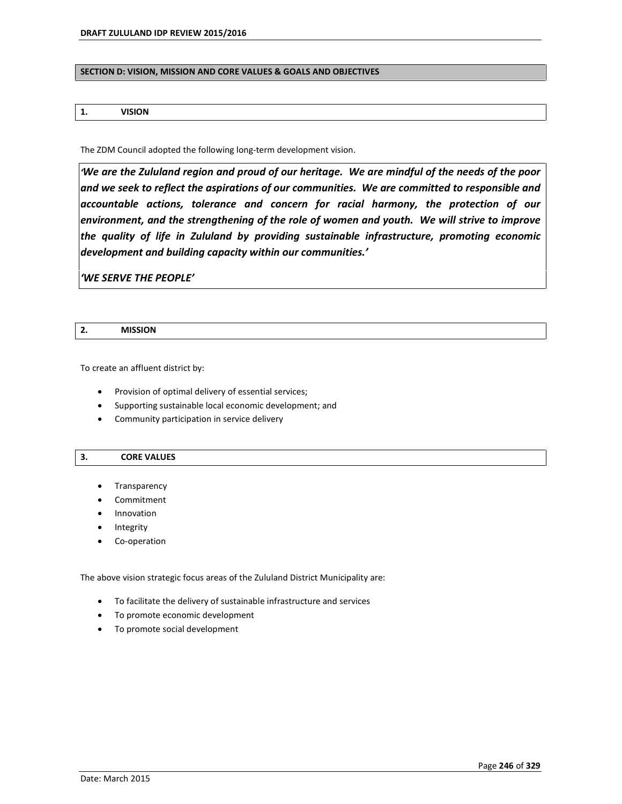#### **SECTION D: VISION, MISSION AND CORE VALUES & GOALS AND OBJECTIVES**

## **1. VISION**

The ZDM Council adopted the following long-term development vision.

*ëWe are the Zululand region and proud of our heritage. We are mindful of the needs of the poor and we seek to reflect the aspirations of our communities. We are committed to responsible and accountable actions, tolerance and concern for racial harmony, the protection of our environment, and the strengthening of the role of women and youth. We will strive to improve the quality of life in Zululand by providing sustainable infrastructure, promoting economic development and building capacity within our communities.í*

*ëWE SERVE THE PEOPLEí*

|    | <b>MISSION</b> |
|----|----------------|
| z. |                |

To create an affluent district by:

- Provision of optimal delivery of essential services;
- Supporting sustainable local economic development; and
- Community participation in service delivery

#### **3. CORE VALUES**

- Transparency
- Commitment
- Innovation
- Integrity
- Co-operation

The above vision strategic focus areas of the Zululand District Municipality are:

- To facilitate the delivery of sustainable infrastructure and services
- To promote economic development
- To promote social development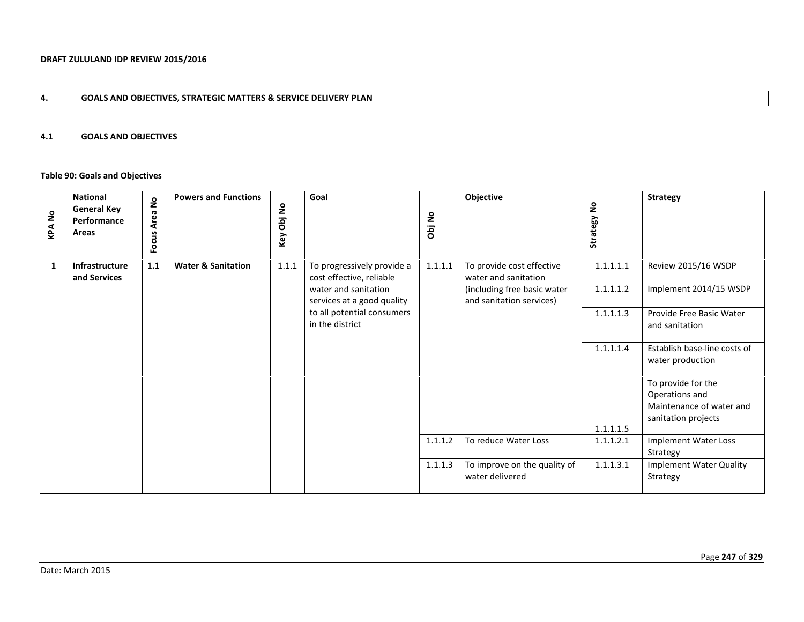# **4. GOALS AND OBJECTIVES, STRATEGIC MATTERS & SERVICE DELIVERY PLAN**

## **4.1 GOALS AND OBJECTIVES**

# **Table 90: Goals and Objectives**

| <b>KPANo</b> | <b>National</b><br><b>General Key</b><br>Performance<br>Areas | ş<br><b>Area</b><br>Focus | <b>Powers and Functions</b>   | Obj No<br>Key | Goal                                                                                                                                                          | Obj No  | Objective                                                                                                    | $\mathsf{S}$<br>Strategy I          | <b>Strategy</b>                                                                             |
|--------------|---------------------------------------------------------------|---------------------------|-------------------------------|---------------|---------------------------------------------------------------------------------------------------------------------------------------------------------------|---------|--------------------------------------------------------------------------------------------------------------|-------------------------------------|---------------------------------------------------------------------------------------------|
| 1            | Infrastructure<br>and Services                                | 1.1                       | <b>Water &amp; Sanitation</b> | 1.1.1         | To progressively provide a<br>cost effective, reliable<br>water and sanitation<br>services at a good quality<br>to all potential consumers<br>in the district | 1.1.1.1 | To provide cost effective<br>water and sanitation<br>(including free basic water<br>and sanitation services) | 1.1.1.1.1<br>1.1.1.1.2<br>1.1.1.1.3 | Review 2015/16 WSDP<br>Implement 2014/15 WSDP<br>Provide Free Basic Water<br>and sanitation |
|              |                                                               |                           |                               |               |                                                                                                                                                               |         |                                                                                                              | 1.1.1.1.4                           | Establish base-line costs of<br>water production                                            |
|              |                                                               |                           |                               |               |                                                                                                                                                               |         |                                                                                                              | 1.1.1.1.5                           | To provide for the<br>Operations and<br>Maintenance of water and<br>sanitation projects     |
|              |                                                               |                           |                               |               |                                                                                                                                                               | 1.1.1.2 | To reduce Water Loss                                                                                         | 1.1.1.2.1                           | Implement Water Loss<br>Strategy                                                            |
|              |                                                               |                           |                               |               |                                                                                                                                                               | 1.1.1.3 | To improve on the quality of<br>water delivered                                                              | 1.1.1.3.1                           | Implement Water Quality<br>Strategy                                                         |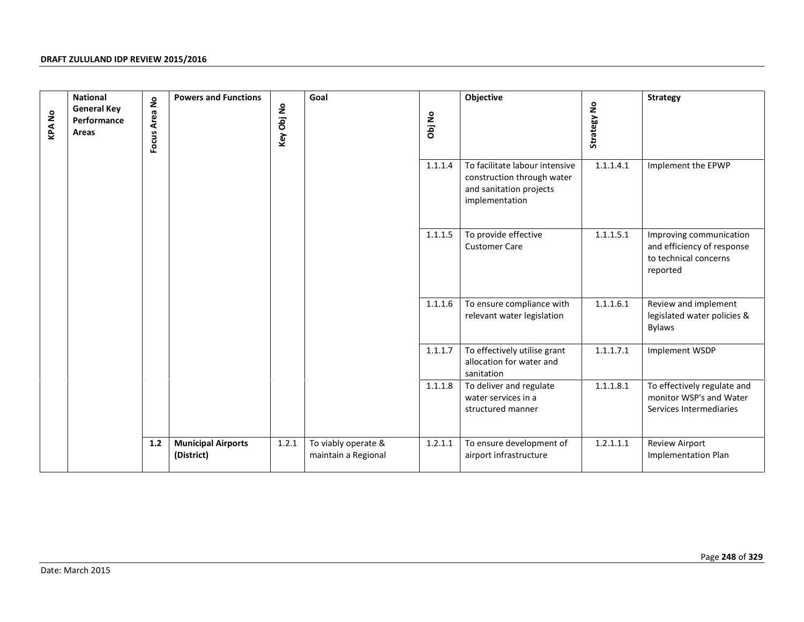| <b>KPANo</b> | <b>National</b><br><b>General Key</b><br>Performance<br>Areas | Focus Area No | <b>Powers and Functions</b>             | Key Obj No | Goal                                       | Obj No  | Objective                                                                                                 | Strategy No | <b>Strategy</b>                                                                            |
|--------------|---------------------------------------------------------------|---------------|-----------------------------------------|------------|--------------------------------------------|---------|-----------------------------------------------------------------------------------------------------------|-------------|--------------------------------------------------------------------------------------------|
|              |                                                               |               |                                         |            |                                            | 1.1.1.4 | To facilitate labour intensive<br>construction through water<br>and sanitation projects<br>implementation | 1.1.1.4.1   | Implement the EPWP                                                                         |
|              |                                                               |               |                                         |            |                                            | 1.1.1.5 | To provide effective<br><b>Customer Care</b>                                                              | 1.1.1.5.1   | Improving communication<br>and efficiency of response<br>to technical concerns<br>reported |
|              |                                                               |               |                                         |            |                                            | 1.1.1.6 | To ensure compliance with<br>relevant water legislation                                                   | 1.1.1.6.1   | Review and implement<br>legislated water policies &<br><b>Bylaws</b>                       |
|              |                                                               |               |                                         |            |                                            | 1.1.1.7 | To effectively utilise grant<br>allocation for water and<br>sanitation                                    | 1.1.1.7.1   | Implement WSDP                                                                             |
|              |                                                               |               |                                         |            |                                            | 1.1.1.8 | To deliver and regulate<br>water services in a<br>structured manner                                       | 1.1.1.8.1   | To effectively regulate and<br>monitor WSP's and Water<br>Services Intermediaries          |
|              |                                                               | $1.2\,$       | <b>Municipal Airports</b><br>(District) | 1.2.1      | To viably operate &<br>maintain a Regional | 1.2.1.1 | To ensure development of<br>airport infrastructure                                                        | 1.2.1.1.1   | Review Airport<br>Implementation Plan                                                      |
|              |                                                               |               |                                         |            |                                            |         |                                                                                                           |             |                                                                                            |
|              | Date: March 2015                                              |               |                                         |            |                                            |         |                                                                                                           |             | Page 248 of 329                                                                            |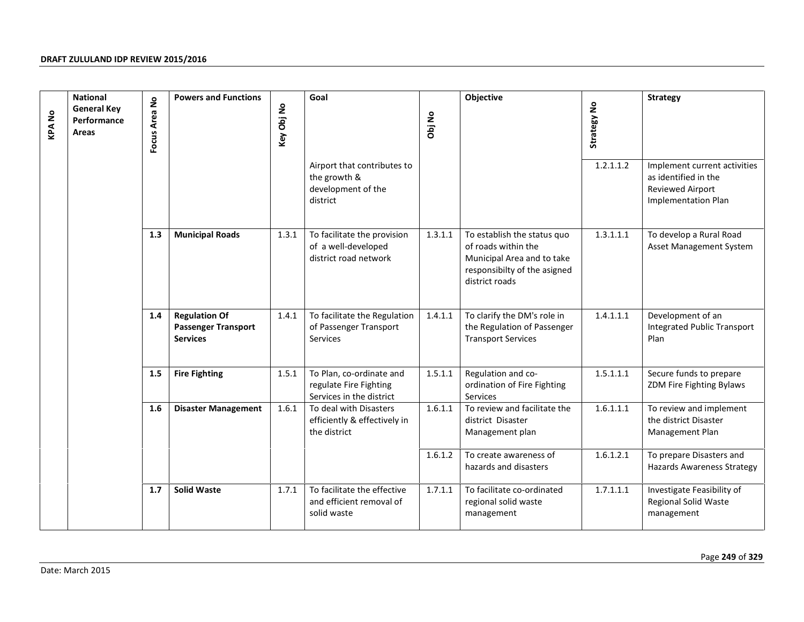| <b>KPANO</b> | <b>National</b><br><b>General Key</b><br>Performance<br>Areas | $\epsilon$<br>Focus Area | <b>Powers and Functions</b>                                           | Key Obj No | Goal                                                                           | Obj No  | Objective                                                                                                                          | Strategy No | <b>Strategy</b>                                                                                 |
|--------------|---------------------------------------------------------------|--------------------------|-----------------------------------------------------------------------|------------|--------------------------------------------------------------------------------|---------|------------------------------------------------------------------------------------------------------------------------------------|-------------|-------------------------------------------------------------------------------------------------|
|              |                                                               |                          |                                                                       |            | Airport that contributes to<br>the growth &<br>development of the<br>district  |         |                                                                                                                                    | 1.2.1.1.2   | Implement current activities<br>as identified in the<br>Reviewed Airport<br>Implementation Plan |
|              |                                                               | 1.3                      | <b>Municipal Roads</b>                                                | 1.3.1      | To facilitate the provision<br>of a well-developed<br>district road network    | 1.3.1.1 | To establish the status quo<br>of roads within the<br>Municipal Area and to take<br>responsibilty of the asigned<br>district roads | 1.3.1.1.1   | To develop a Rural Road<br>Asset Management System                                              |
|              |                                                               | 1.4                      | <b>Regulation Of</b><br><b>Passenger Transport</b><br><b>Services</b> | 1.4.1      | To facilitate the Regulation<br>of Passenger Transport<br>Services             | 1.4.1.1 | To clarify the DM's role in<br>the Regulation of Passenger<br><b>Transport Services</b>                                            | 1.4.1.1.1   | Development of an<br><b>Integrated Public Transport</b><br>Plan                                 |
|              |                                                               | 1.5                      | <b>Fire Fighting</b>                                                  | 1.5.1      | To Plan, co-ordinate and<br>regulate Fire Fighting<br>Services in the district | 1.5.1.1 | Regulation and co-<br>ordination of Fire Fighting<br>Services                                                                      | 1.5.1.1.1   | Secure funds to prepare<br>ZDM Fire Fighting Bylaws                                             |
|              |                                                               | 1.6                      | <b>Disaster Management</b>                                            | 1.6.1      | To deal with Disasters<br>efficiently & effectively in<br>the district         | 1.6.1.1 | To review and facilitate the<br>district Disaster<br>Management plan                                                               | 1.6.1.1.1   | To review and implement<br>the district Disaster<br>Management Plan                             |
|              |                                                               |                          |                                                                       |            |                                                                                | 1.6.1.2 | To create awareness of<br>hazards and disasters                                                                                    | 1.6.1.2.1   | To prepare Disasters and<br><b>Hazards Awareness Strategy</b>                                   |
|              |                                                               | 1.7                      | <b>Solid Waste</b>                                                    | 1.7.1      | To facilitate the effective<br>and efficient removal of<br>solid waste         | 1.7.1.1 | To facilitate co-ordinated<br>regional solid waste<br>management                                                                   | 1.7.1.1.1   | Investigate Feasibility of<br>Regional Solid Waste<br>management                                |
|              | Date: March 2015                                              |                          |                                                                       |            |                                                                                |         |                                                                                                                                    |             | Page 249 of 329                                                                                 |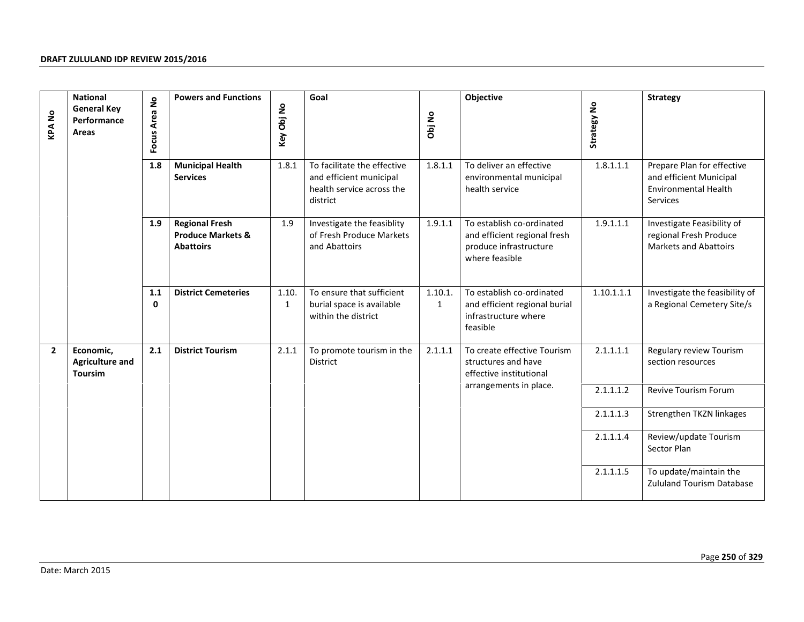| <b>KPANo</b> | <b>National</b><br><b>General Key</b><br>Performance<br>Areas | $\mathsf{S}$<br>Focus Area | <b>Powers and Functions</b>                                               | Key Obj No            | Goal                                                                                            | Obj No                  | Objective                                                                                             | Strategy No | <b>Strategy</b>                                                                                  |
|--------------|---------------------------------------------------------------|----------------------------|---------------------------------------------------------------------------|-----------------------|-------------------------------------------------------------------------------------------------|-------------------------|-------------------------------------------------------------------------------------------------------|-------------|--------------------------------------------------------------------------------------------------|
|              |                                                               | 1.8                        | <b>Municipal Health</b><br><b>Services</b>                                | 1.8.1                 | To facilitate the effective<br>and efficient municipal<br>health service across the<br>district | 1.8.1.1                 | To deliver an effective<br>environmental municipal<br>health service                                  | 1.8.1.1.1   | Prepare Plan for effective<br>and efficient Municipal<br><b>Environmental Health</b><br>Services |
|              |                                                               | 1.9                        | <b>Regional Fresh</b><br><b>Produce Markets &amp;</b><br><b>Abattoirs</b> | 1.9                   | Investigate the feasiblity<br>of Fresh Produce Markets<br>and Abattoirs                         | 1.9.1.1                 | To establish co-ordinated<br>and efficient regional fresh<br>produce infrastructure<br>where feasible | 1.9.1.1.1   | Investigate Feasibility of<br>regional Fresh Produce<br><b>Markets and Abattoirs</b>             |
|              |                                                               | 1.1<br>$\mathbf 0$         | <b>District Cemeteries</b>                                                | 1.10.<br>$\mathbf{1}$ | To ensure that sufficient<br>burial space is available<br>within the district                   | 1.10.1.<br>$\mathbf{1}$ | To establish co-ordinated<br>and efficient regional burial<br>infrastructure where<br>feasible        | 1.10.1.1.1  | Investigate the feasibility of<br>a Regional Cemetery Site/s                                     |
| $\mathbf{2}$ | Economic,<br><b>Agriculture and</b><br><b>Toursim</b>         | 2.1                        | <b>District Tourism</b>                                                   | 2.1.1                 | To promote tourism in the<br>District                                                           | 2.1.1.1                 | To create effective Tourism<br>structures and have<br>effective institutional                         | 2.1.1.1.1   | Regulary review Tourism<br>section resources                                                     |
|              |                                                               |                            |                                                                           |                       |                                                                                                 |                         | arrangements in place.                                                                                | 2.1.1.1.2   | Revive Tourism Forum                                                                             |
|              |                                                               |                            |                                                                           |                       |                                                                                                 |                         |                                                                                                       | 2.1.1.1.3   | Strengthen TKZN linkages                                                                         |
|              |                                                               |                            |                                                                           |                       |                                                                                                 |                         |                                                                                                       | 2.1.1.1.4   | Review/update Tourism<br>Sector Plan                                                             |
|              |                                                               |                            |                                                                           |                       |                                                                                                 |                         |                                                                                                       | 2.1.1.1.5   | To update/maintain the<br><b>Zululand Tourism Database</b>                                       |
|              | Date: March 2015                                              |                            |                                                                           |                       |                                                                                                 |                         |                                                                                                       |             | Page 250 of 329                                                                                  |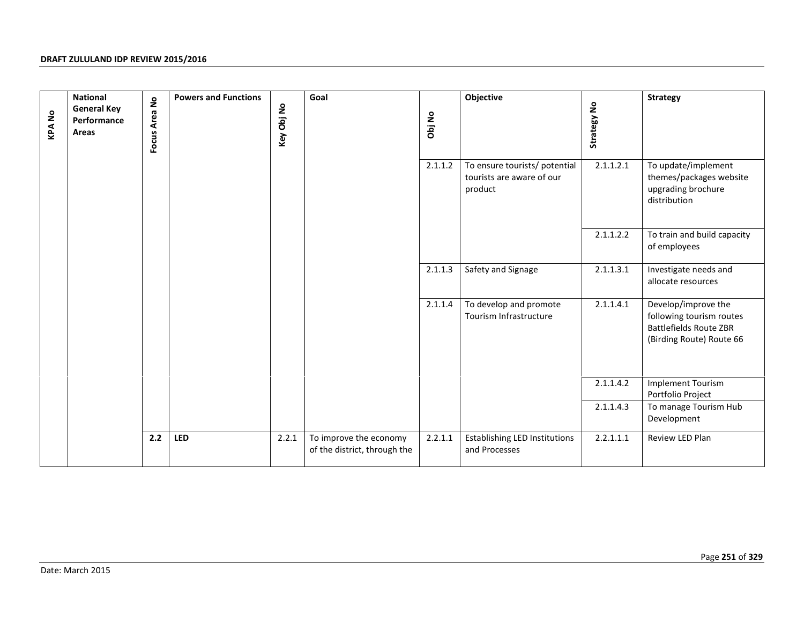| <b>KPANo</b> | <b>National</b><br><b>General Key</b><br>Performance<br>Areas | Focus Area No | <b>Powers and Functions</b> | Key Obj No | Goal                                                   | Obj No  | Objective                                                             | <b>Strategy No</b> | <b>Strategy</b>                                                                                              |  |  |
|--------------|---------------------------------------------------------------|---------------|-----------------------------|------------|--------------------------------------------------------|---------|-----------------------------------------------------------------------|--------------------|--------------------------------------------------------------------------------------------------------------|--|--|
|              |                                                               |               |                             |            |                                                        | 2.1.1.2 | To ensure tourists/ potential<br>tourists are aware of our<br>product | 2.1.1.2.1          | To update/implement<br>themes/packages website<br>upgrading brochure<br>distribution                         |  |  |
|              |                                                               |               |                             |            |                                                        |         |                                                                       | 2.1.1.2.2          | To train and build capacity<br>of employees                                                                  |  |  |
|              |                                                               |               |                             |            |                                                        | 2.1.1.3 | Safety and Signage                                                    | 2.1.1.3.1          | Investigate needs and<br>allocate resources                                                                  |  |  |
|              |                                                               |               |                             |            |                                                        | 2.1.1.4 | To develop and promote<br>Tourism Infrastructure                      | 2.1.1.4.1          | Develop/improve the<br>following tourism routes<br><b>Battlefields Route ZBR</b><br>(Birding Route) Route 66 |  |  |
|              |                                                               |               |                             |            |                                                        |         |                                                                       | 2.1.1.4.2          | <b>Implement Tourism</b><br>Portfolio Project                                                                |  |  |
|              |                                                               |               |                             |            |                                                        |         |                                                                       | 2.1.1.4.3          | To manage Tourism Hub<br>Development                                                                         |  |  |
|              |                                                               | 2.2           | <b>LED</b>                  | 2.2.1      | To improve the economy<br>of the district, through the | 2.2.1.1 | <b>Establishing LED Institutions</b><br>and Processes                 | 2.2.1.1.1          | Review LED Plan                                                                                              |  |  |
|              |                                                               |               |                             |            |                                                        |         |                                                                       |                    |                                                                                                              |  |  |
|              | Page 251 of 329<br>Date: March 2015                           |               |                             |            |                                                        |         |                                                                       |                    |                                                                                                              |  |  |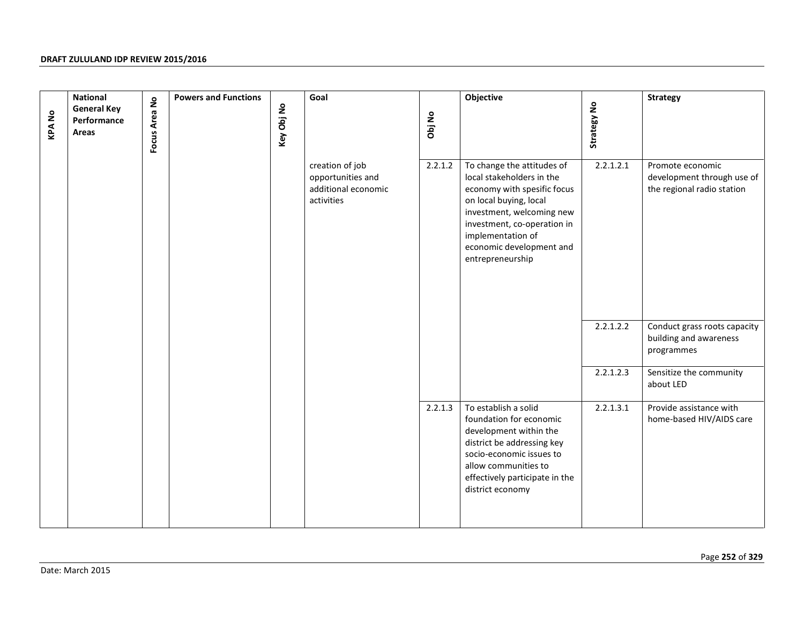|              | <b>National</b>                            |               | <b>Powers and Functions</b> | Goal                                                                      |         | Objective                                                                                                                                                                                                                                         |             | <b>Strategy</b>                                                              |
|--------------|--------------------------------------------|---------------|-----------------------------|---------------------------------------------------------------------------|---------|---------------------------------------------------------------------------------------------------------------------------------------------------------------------------------------------------------------------------------------------------|-------------|------------------------------------------------------------------------------|
| <b>KPANo</b> | <b>General Key</b><br>Performance<br>Areas | Focus Area No | Key Obj No                  |                                                                           | Obj No  |                                                                                                                                                                                                                                                   | Strategy No |                                                                              |
|              |                                            |               |                             | creation of job<br>opportunities and<br>additional economic<br>activities | 2.2.1.2 | To change the attitudes of<br>local stakeholders in the<br>economy with spesific focus<br>on local buying, local<br>investment, welcoming new<br>investment, co-operation in<br>implementation of<br>economic development and<br>entrepreneurship | 2.2.1.2.1   | Promote economic<br>development through use of<br>the regional radio station |
|              |                                            |               |                             |                                                                           |         |                                                                                                                                                                                                                                                   | 2.2.1.2.2   | Conduct grass roots capacity<br>building and awareness<br>programmes         |
|              |                                            |               |                             |                                                                           |         |                                                                                                                                                                                                                                                   | 2.2.1.2.3   | Sensitize the community<br>about LED                                         |
|              |                                            |               |                             |                                                                           | 2.2.1.3 | To establish a solid<br>foundation for economic<br>development within the<br>district be addressing key<br>socio-economic issues to<br>allow communities to<br>effectively participate in the<br>district economy                                 | 2.2.1.3.1   | Provide assistance with<br>home-based HIV/AIDS care                          |
|              |                                            |               |                             |                                                                           |         |                                                                                                                                                                                                                                                   |             |                                                                              |
|              |                                            |               |                             |                                                                           |         |                                                                                                                                                                                                                                                   |             | Page 252 of 329                                                              |
|              | Date: March 2015                           |               |                             |                                                                           |         |                                                                                                                                                                                                                                                   |             |                                                                              |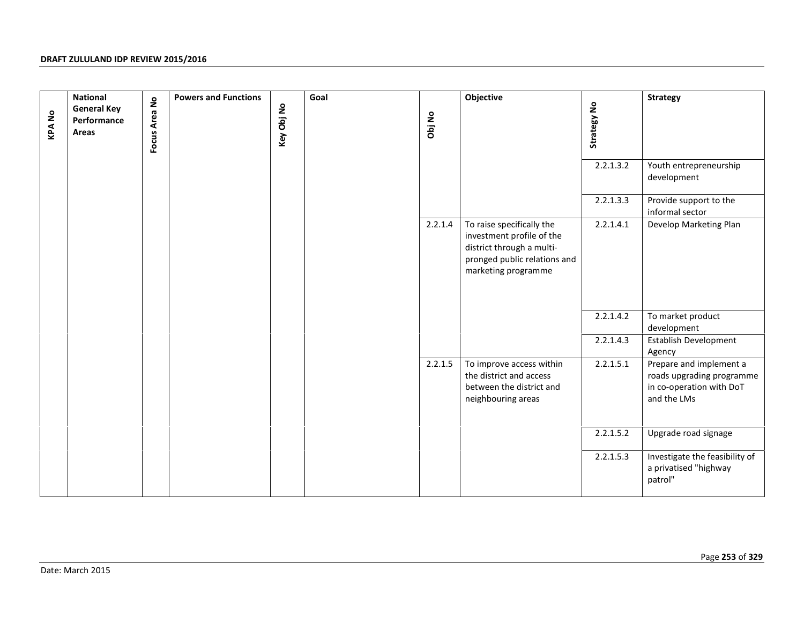| <b>KPANo</b> | <b>National</b><br><b>General Key</b><br>Performance<br>Areas | Focus Area No | <b>Powers and Functions</b> | Key Obj No | Goal | Obj No  | Objective                                                                                                                                  | Strategy No<br>2.2.1.3.2<br>2.2.1.3.3 | <b>Strategy</b><br>Youth entrepreneurship<br>development<br>Provide support to the                        |
|--------------|---------------------------------------------------------------|---------------|-----------------------------|------------|------|---------|--------------------------------------------------------------------------------------------------------------------------------------------|---------------------------------------|-----------------------------------------------------------------------------------------------------------|
|              |                                                               |               |                             |            |      | 2.2.1.4 | To raise specifically the<br>investment profile of the<br>district through a multi-<br>pronged public relations and<br>marketing programme | 2.2.1.4.1                             | informal sector<br>Develop Marketing Plan                                                                 |
|              |                                                               |               |                             |            |      |         |                                                                                                                                            | 2.2.1.4.2<br>2.2.1.4.3                | To market product<br>development<br>Establish Development                                                 |
|              |                                                               |               |                             |            |      | 2.2.1.5 | To improve access within<br>the district and access<br>between the district and<br>neighbouring areas                                      | 2.2.1.5.1                             | Agency<br>Prepare and implement a<br>roads upgrading programme<br>in co-operation with DoT<br>and the LMs |
|              |                                                               |               |                             |            |      |         |                                                                                                                                            | 2.2.1.5.2                             | Upgrade road signage                                                                                      |
|              |                                                               |               |                             |            |      |         |                                                                                                                                            | 2.2.1.5.3                             | Investigate the feasibility of<br>a privatised "highway<br>patrol"                                        |
|              | Date: March 2015                                              |               |                             |            |      |         |                                                                                                                                            |                                       | Page 253 of 329                                                                                           |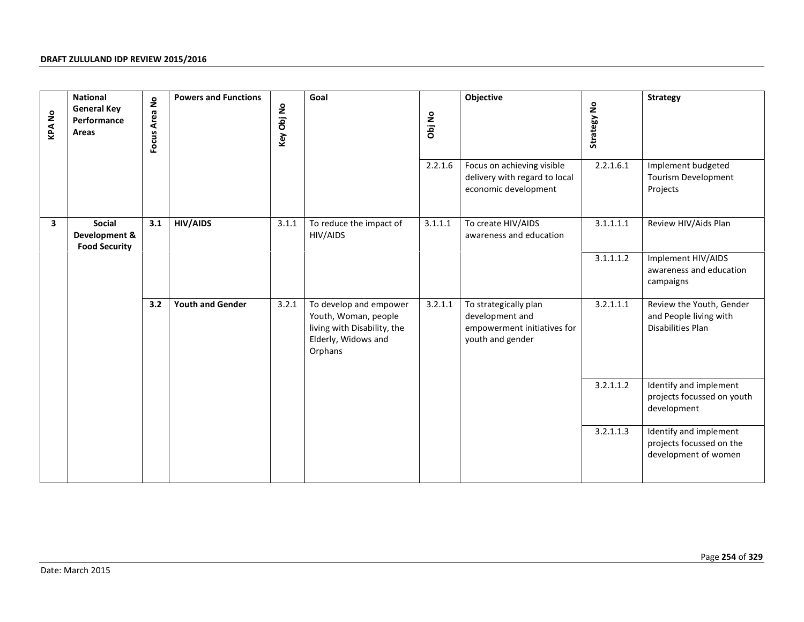| <b>KPANo</b> | <b>National</b><br><b>General Key</b><br>Performance<br>Areas | Focus Area No | <b>Powers and Functions</b> | Key Obj No | Goal                                                                                                            | Obj No  | Objective                                                                                   | Strategy No | <b>Strategy</b>                                                            |
|--------------|---------------------------------------------------------------|---------------|-----------------------------|------------|-----------------------------------------------------------------------------------------------------------------|---------|---------------------------------------------------------------------------------------------|-------------|----------------------------------------------------------------------------|
|              |                                                               |               |                             |            |                                                                                                                 | 2.2.1.6 | Focus on achieving visible<br>delivery with regard to local<br>economic development         | 2.2.1.6.1   | Implement budgeted<br>Tourism Development<br>Projects                      |
| 3            | Social<br>Development &<br><b>Food Security</b>               | 3.1           | <b>HIV/AIDS</b>             | 3.1.1      | To reduce the impact of<br>HIV/AIDS                                                                             | 3.1.1.1 | To create HIV/AIDS<br>awareness and education                                               | 3.1.1.1.1   | Review HIV/Aids Plan                                                       |
|              |                                                               |               |                             |            |                                                                                                                 |         |                                                                                             | 3.1.1.1.2   | Implement HIV/AIDS<br>awareness and education<br>campaigns                 |
|              |                                                               | 3.2           | <b>Youth and Gender</b>     | 3.2.1      | To develop and empower<br>Youth, Woman, people<br>living with Disability, the<br>Elderly, Widows and<br>Orphans | 3.2.1.1 | To strategically plan<br>development and<br>empowerment initiatives for<br>youth and gender | 3.2.1.1.1   | Review the Youth, Gender<br>and People living with<br>Disabilities Plan    |
|              |                                                               |               |                             |            |                                                                                                                 |         |                                                                                             | 3.2.1.1.2   | Identify and implement<br>projects focussed on youth<br>development        |
|              |                                                               |               |                             |            |                                                                                                                 |         |                                                                                             | 3.2.1.1.3   | Identify and implement<br>projects focussed on the<br>development of women |
|              |                                                               |               |                             |            |                                                                                                                 |         |                                                                                             |             |                                                                            |
|              | Date: March 2015                                              |               |                             |            |                                                                                                                 |         |                                                                                             |             | Page 254 of 329                                                            |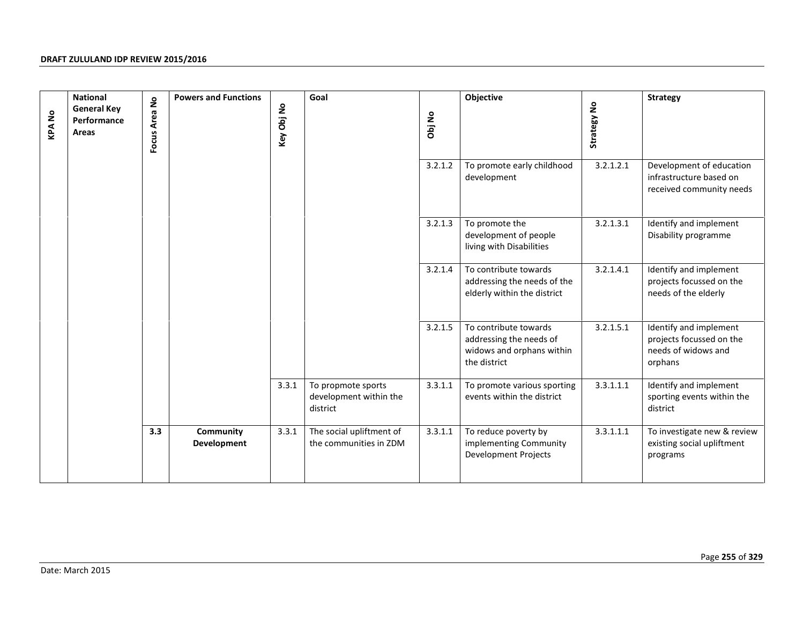| <b>KPANo</b> | <b>National</b><br><b>General Key</b><br>Performance<br>Areas | Focus Area No | <b>Powers and Functions</b> | Key Obj No | Goal                                                     | Obj No  | Objective                                                                                     | Strategy No | <b>Strategy</b>                                                                      |
|--------------|---------------------------------------------------------------|---------------|-----------------------------|------------|----------------------------------------------------------|---------|-----------------------------------------------------------------------------------------------|-------------|--------------------------------------------------------------------------------------|
|              |                                                               |               |                             |            |                                                          | 3.2.1.2 | To promote early childhood<br>development                                                     | 3.2.1.2.1   | Development of education<br>infrastructure based on<br>received community needs      |
|              |                                                               |               |                             |            |                                                          | 3.2.1.3 | To promote the<br>development of people<br>living with Disabilities                           | 3.2.1.3.1   | Identify and implement<br>Disability programme                                       |
|              |                                                               |               |                             |            |                                                          | 3.2.1.4 | To contribute towards<br>addressing the needs of the<br>elderly within the district           | 3.2.1.4.1   | Identify and implement<br>projects focussed on the<br>needs of the elderly           |
|              |                                                               |               |                             |            |                                                          | 3.2.1.5 | To contribute towards<br>addressing the needs of<br>widows and orphans within<br>the district | 3.2.1.5.1   | Identify and implement<br>projects focussed on the<br>needs of widows and<br>orphans |
|              |                                                               |               |                             | 3.3.1      | To propmote sports<br>development within the<br>district | 3.3.1.1 | To promote various sporting<br>events within the district                                     | 3.3.1.1.1   | Identify and implement<br>sporting events within the<br>district                     |
|              |                                                               | 3.3           | Community<br>Development    | 3.3.1      | The social upliftment of<br>the communities in ZDM       | 3.3.1.1 | To reduce poverty by<br>implementing Community<br><b>Development Projects</b>                 | 3.3.1.1.1   | To investigate new & review<br>existing social upliftment<br>programs                |
|              |                                                               |               |                             |            |                                                          |         |                                                                                               |             |                                                                                      |
|              |                                                               |               |                             |            |                                                          |         |                                                                                               |             | Page 255 of 329                                                                      |
|              | Date: March 2015                                              |               |                             |            |                                                          |         |                                                                                               |             |                                                                                      |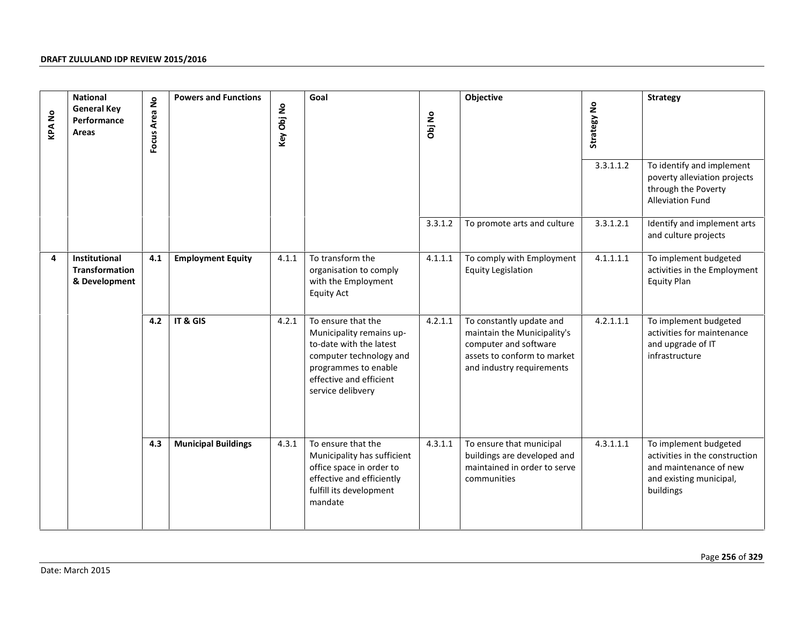| <b>KPANo</b> | <b>National</b><br><b>General Key</b><br>Performance<br>Areas | Focus Area No | <b>Powers and Functions</b> | Key Obj No | Goal                                                                                                                                                                         | Obj No  | Objective                                                                                                                                    | Strategy No<br>3.3.1.1.2 | <b>Strategy</b><br>To identify and implement<br>poverty alleviation projects<br>through the Poverty<br><b>Alleviation Fund</b> |
|--------------|---------------------------------------------------------------|---------------|-----------------------------|------------|------------------------------------------------------------------------------------------------------------------------------------------------------------------------------|---------|----------------------------------------------------------------------------------------------------------------------------------------------|--------------------------|--------------------------------------------------------------------------------------------------------------------------------|
|              |                                                               |               |                             |            |                                                                                                                                                                              | 3.3.1.2 | To promote arts and culture                                                                                                                  | 3.3.1.2.1                | Identify and implement arts<br>and culture projects                                                                            |
| 4            | Institutional<br><b>Transformation</b><br>& Development       | 4.1           | <b>Employment Equity</b>    | 4.1.1      | To transform the<br>organisation to comply<br>with the Employment<br><b>Equity Act</b>                                                                                       | 4.1.1.1 | To comply with Employment<br><b>Equity Legislation</b>                                                                                       | 4.1.1.1.1                | To implement budgeted<br>activities in the Employment<br><b>Equity Plan</b>                                                    |
|              |                                                               | 4.2           | IT & GIS                    | 4.2.1      | To ensure that the<br>Municipality remains up-<br>to-date with the latest<br>computer technology and<br>programmes to enable<br>effective and efficient<br>service delibvery | 4.2.1.1 | To constantly update and<br>maintain the Municipality's<br>computer and software<br>assets to conform to market<br>and industry requirements | 4.2.1.1.1                | To implement budgeted<br>activities for maintenance<br>and upgrade of IT<br>infrastructure                                     |
|              |                                                               | 4.3           | <b>Municipal Buildings</b>  | 4.3.1      | To ensure that the<br>Municipality has sufficient<br>office space in order to<br>effective and efficiently<br>fulfill its development<br>mandate                             | 4.3.1.1 | To ensure that municipal<br>buildings are developed and<br>maintained in order to serve<br>communities                                       | 4.3.1.1.1                | To implement budgeted<br>activities in the construction<br>and maintenance of new<br>and existing municipal,<br>buildings      |
|              | Date: March 2015                                              |               |                             |            |                                                                                                                                                                              |         |                                                                                                                                              |                          | Page 256 of 329                                                                                                                |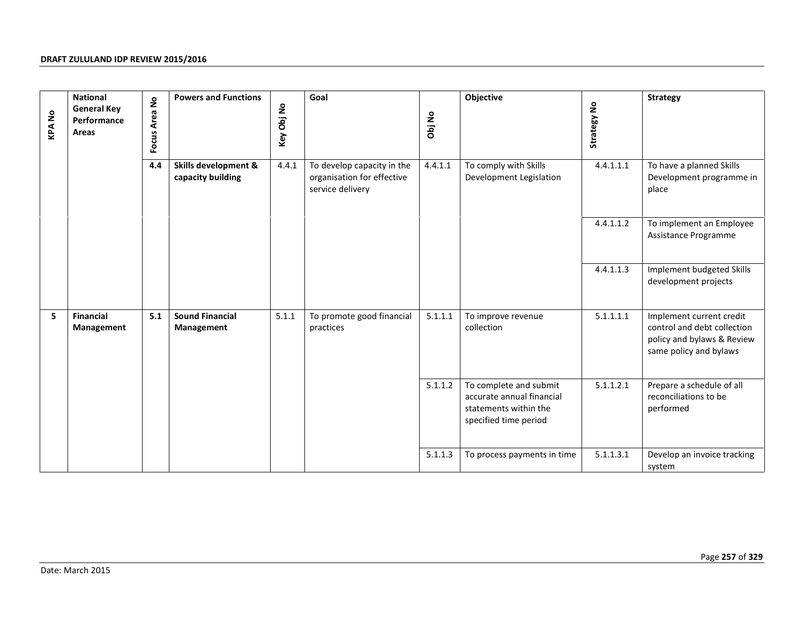| <b>KPANo</b> | <b>National</b><br><b>General Key</b><br>Performance<br>Areas | <b>Powers and Functions</b><br>Focus Area No<br>4.4<br><b>Skills development &amp;</b><br>capacity building | Key Obj No                           | Goal  | Objective<br>Obj No<br>4.4.1.1<br>To comply with Skills                      |         | Strategy No                                                                                           | <b>Strategy</b> |                                                                                                                 |
|--------------|---------------------------------------------------------------|-------------------------------------------------------------------------------------------------------------|--------------------------------------|-------|------------------------------------------------------------------------------|---------|-------------------------------------------------------------------------------------------------------|-----------------|-----------------------------------------------------------------------------------------------------------------|
|              |                                                               |                                                                                                             |                                      | 4.4.1 | To develop capacity in the<br>organisation for effective<br>service delivery |         | Development Legislation                                                                               | 4.4.1.1.1       | To have a planned Skills<br>Development programme in<br>place                                                   |
|              |                                                               |                                                                                                             |                                      |       |                                                                              |         |                                                                                                       | 4.4.1.1.2       | To implement an Employee<br>Assistance Programme                                                                |
|              |                                                               |                                                                                                             |                                      |       |                                                                              |         |                                                                                                       | 4.4.1.1.3       | Implement budgeted Skills<br>development projects                                                               |
| 5            | <b>Financial</b><br>Management                                | 5.1                                                                                                         | <b>Sound Financial</b><br>Management | 5.1.1 | To promote good financial<br>practices                                       | 5.1.1.1 | To improve revenue<br>collection                                                                      | 5.1.1.1.1       | Implement current credit<br>control and debt collection<br>policy and bylaws & Review<br>same policy and bylaws |
|              |                                                               |                                                                                                             |                                      |       |                                                                              | 5.1.1.2 | To complete and submit<br>accurate annual financial<br>statements within the<br>specified time period | 5.1.1.2.1       | Prepare a schedule of all<br>reconciliations to be<br>performed                                                 |
|              |                                                               |                                                                                                             |                                      |       |                                                                              | 5.1.1.3 | To process payments in time                                                                           | 5.1.1.3.1       | Develop an invoice tracking<br>system                                                                           |
|              |                                                               |                                                                                                             |                                      |       |                                                                              |         |                                                                                                       |                 | Page 257 of 329                                                                                                 |
|              | Date: March 2015                                              |                                                                                                             |                                      |       |                                                                              |         |                                                                                                       |                 |                                                                                                                 |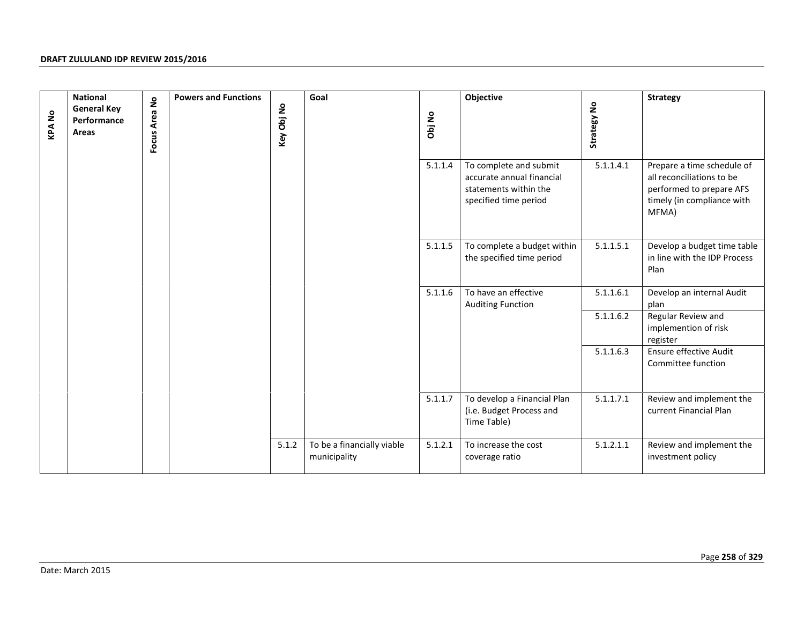| <b>KPANo</b> | <b>National</b><br><b>General Key</b><br>Performance<br>Areas | Focus Area No | <b>Powers and Functions</b> | Key Obj No | Goal                                       | Obj No  | Objective                                                                                             | Strategy No | <b>Strategy</b>                                                                                                            |
|--------------|---------------------------------------------------------------|---------------|-----------------------------|------------|--------------------------------------------|---------|-------------------------------------------------------------------------------------------------------|-------------|----------------------------------------------------------------------------------------------------------------------------|
|              |                                                               |               |                             |            |                                            | 5.1.1.4 | To complete and submit<br>accurate annual financial<br>statements within the<br>specified time period | 5.1.1.4.1   | Prepare a time schedule of<br>all reconciliations to be<br>performed to prepare AFS<br>timely (in compliance with<br>MFMA) |
|              |                                                               |               |                             |            |                                            | 5.1.1.5 | To complete a budget within<br>the specified time period                                              | 5.1.1.5.1   | Develop a budget time table<br>in line with the IDP Process<br>Plan                                                        |
|              |                                                               |               |                             |            |                                            | 5.1.1.6 | To have an effective<br><b>Auditing Function</b>                                                      | 5.1.1.6.1   | Develop an internal Audit<br>plan                                                                                          |
|              |                                                               |               |                             |            |                                            |         |                                                                                                       | 5.1.1.6.2   | Regular Review and<br>implemention of risk<br>register                                                                     |
|              |                                                               |               |                             |            |                                            |         |                                                                                                       | 5.1.1.6.3   | Ensure effective Audit<br>Committee function                                                                               |
|              |                                                               |               |                             |            |                                            | 5.1.1.7 | To develop a Financial Plan<br>(i.e. Budget Process and<br>Time Table)                                | 5.1.1.7.1   | Review and implement the<br>current Financial Plan                                                                         |
|              |                                                               |               |                             | 5.1.2      | To be a financially viable<br>municipality | 5.1.2.1 | To increase the cost<br>coverage ratio                                                                | 5.1.2.1.1   | Review and implement the<br>investment policy                                                                              |
|              |                                                               |               |                             |            |                                            |         |                                                                                                       |             |                                                                                                                            |
|              | Date: March 2015                                              |               |                             |            |                                            |         |                                                                                                       |             | Page 258 of 329                                                                                                            |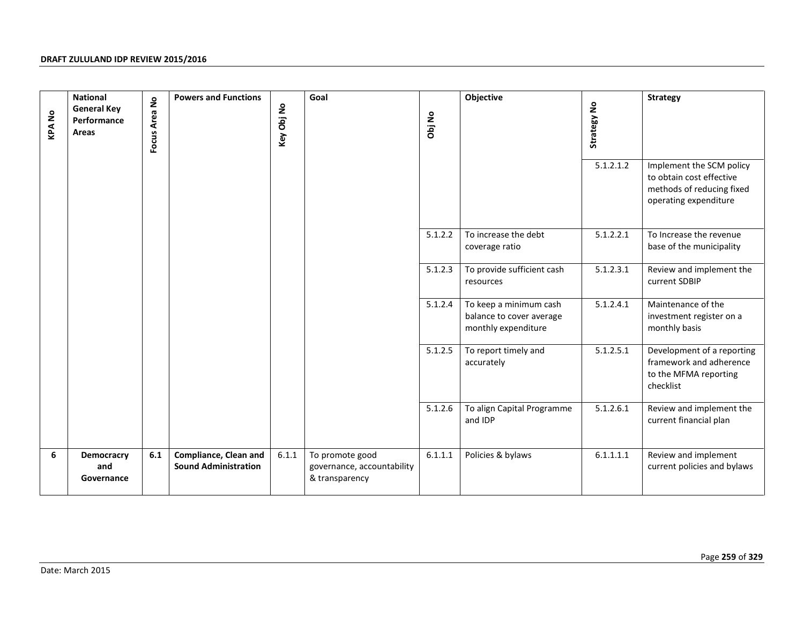| <b>KPANo</b> | <b>National</b><br><b>General Key</b><br>Performance<br>Areas | Focus Area No | <b>Powers and Functions</b>                                 | Key Obj No | Goal                                                            | Obj No  | Objective                                                                 | Strategy No<br>5.1.2.1.2 | <b>Strategy</b><br>Implement the SCM policy<br>to obtain cost effective<br>methods of reducing fixed<br>operating expenditure |
|--------------|---------------------------------------------------------------|---------------|-------------------------------------------------------------|------------|-----------------------------------------------------------------|---------|---------------------------------------------------------------------------|--------------------------|-------------------------------------------------------------------------------------------------------------------------------|
|              |                                                               |               |                                                             |            |                                                                 | 5.1.2.2 | To increase the debt<br>coverage ratio                                    | 5.1.2.2.1                | To Increase the revenue<br>base of the municipality                                                                           |
|              |                                                               |               |                                                             |            |                                                                 | 5.1.2.3 | To provide sufficient cash<br>resources                                   | 5.1.2.3.1                | Review and implement the<br>current SDBIP                                                                                     |
|              |                                                               |               |                                                             |            |                                                                 | 5.1.2.4 | To keep a minimum cash<br>balance to cover average<br>monthly expenditure | 5.1.2.4.1                | Maintenance of the<br>investment register on a<br>monthly basis                                                               |
|              |                                                               |               |                                                             |            |                                                                 | 5.1.2.5 | To report timely and<br>accurately                                        | 5.1.2.5.1                | Development of a reporting<br>framework and adherence<br>to the MFMA reporting<br>checklist                                   |
|              |                                                               |               |                                                             |            |                                                                 | 5.1.2.6 | To align Capital Programme<br>and IDP                                     | 5.1.2.6.1                | Review and implement the<br>current financial plan                                                                            |
| 6            | Democracry<br>and<br>Governance                               | 6.1           | <b>Compliance, Clean and</b><br><b>Sound Administration</b> | 6.1.1      | To promote good<br>governance, accountability<br>& transparency | 6.1.1.1 | Policies & bylaws                                                         | 6.1.1.1.1                | Review and implement<br>current policies and bylaws                                                                           |
|              | Date: March 2015                                              |               |                                                             |            |                                                                 |         |                                                                           |                          | Page 259 of 329                                                                                                               |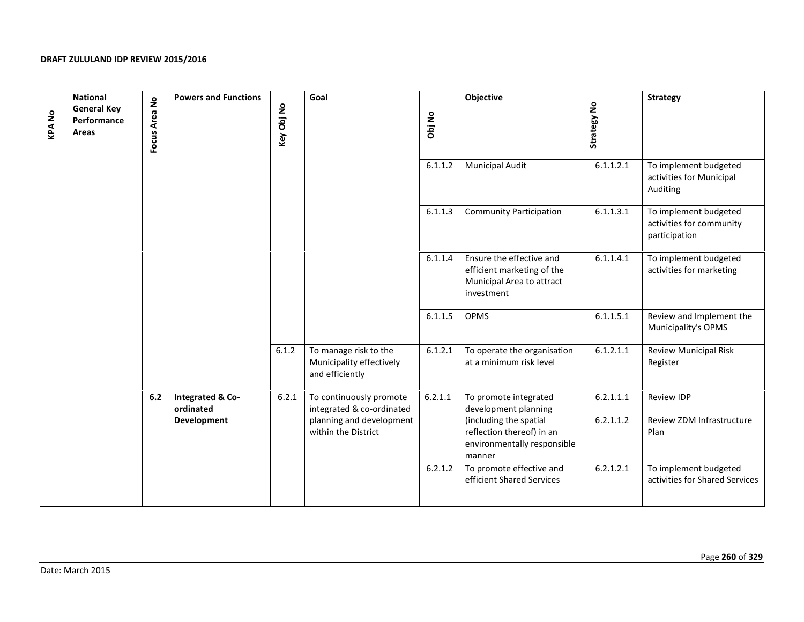| <b>KPANo</b> | <b>National</b><br><b>General Key</b><br>Performance<br>Areas | Focus Area No | <b>Powers and Functions</b>   | Key Obj No | Goal                                                                 | Obj No  | Objective                                                                                         | Strategy No | <b>Strategy</b>                                                    |
|--------------|---------------------------------------------------------------|---------------|-------------------------------|------------|----------------------------------------------------------------------|---------|---------------------------------------------------------------------------------------------------|-------------|--------------------------------------------------------------------|
|              |                                                               |               |                               |            |                                                                      | 6.1.1.2 | <b>Municipal Audit</b>                                                                            | 6.1.1.2.1   | To implement budgeted<br>activities for Municipal<br>Auditing      |
|              |                                                               |               |                               |            |                                                                      | 6.1.1.3 | <b>Community Participation</b>                                                                    | 6.1.1.3.1   | To implement budgeted<br>activities for community<br>participation |
|              |                                                               |               |                               |            |                                                                      | 6.1.1.4 | Ensure the effective and<br>efficient marketing of the<br>Municipal Area to attract<br>investment | 6.1.1.4.1   | To implement budgeted<br>activities for marketing                  |
|              |                                                               |               |                               |            |                                                                      | 6.1.1.5 | OPMS                                                                                              | 6.1.1.5.1   | Review and Implement the<br>Municipality's OPMS                    |
|              |                                                               |               |                               | 6.1.2      | To manage risk to the<br>Municipality effectively<br>and efficiently | 6.1.2.1 | To operate the organisation<br>at a minimum risk level                                            | 6.1.2.1.1   | <b>Review Municipal Risk</b><br>Register                           |
|              |                                                               | 6.2           | Integrated & Co-<br>ordinated | 6.2.1      | To continuously promote<br>integrated & co-ordinated                 | 6.2.1.1 | To promote integrated<br>development planning                                                     | 6.2.1.1.1   | Review IDP                                                         |
|              |                                                               |               | Development                   |            | planning and development<br>within the District                      |         | (including the spatial<br>reflection thereof) in an<br>environmentally responsible<br>manner      | 6.2.1.1.2   | Review ZDM Infrastructure<br>Plan                                  |
|              |                                                               |               |                               |            |                                                                      | 6.2.1.2 | To promote effective and<br>efficient Shared Services                                             | 6.2.1.2.1   | To implement budgeted<br>activities for Shared Services            |
|              |                                                               |               |                               |            |                                                                      |         |                                                                                                   |             | Page 260 of 329                                                    |
|              | Date: March 2015                                              |               |                               |            |                                                                      |         |                                                                                                   |             |                                                                    |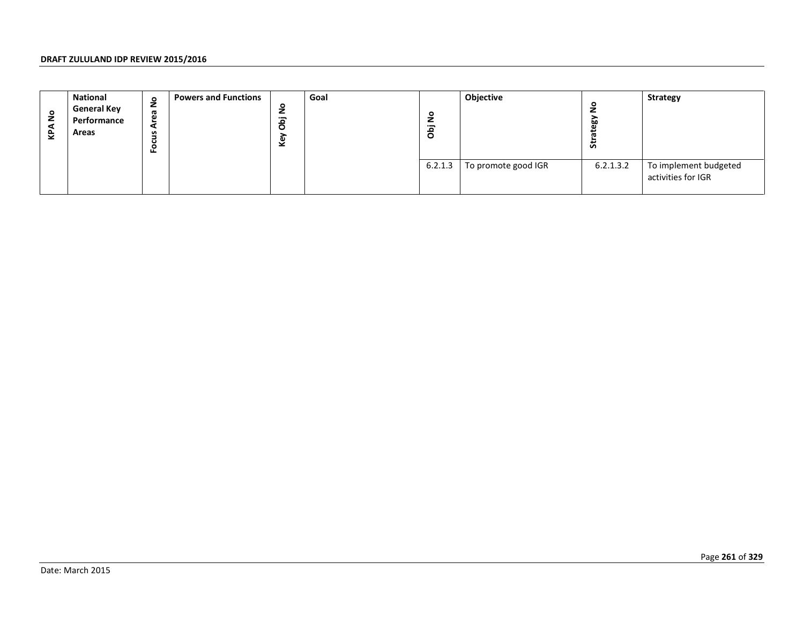| <b>KPANO</b> | National<br><b>General Key</b><br>Performance<br>Areas | Focus Area No | <b>Powers and Functions</b> | Key Obj No | Goal | Objective<br>Strategy No<br>Obj No<br>6.2.1.3<br>To promote good IGR |  |           | Strategy                                    |
|--------------|--------------------------------------------------------|---------------|-----------------------------|------------|------|----------------------------------------------------------------------|--|-----------|---------------------------------------------|
|              |                                                        |               |                             |            |      |                                                                      |  | 6.2.1.3.2 | To implement budgeted<br>activities for IGR |
|              |                                                        |               |                             |            |      |                                                                      |  |           |                                             |
|              |                                                        |               |                             |            |      |                                                                      |  |           |                                             |
|              |                                                        |               |                             |            |      |                                                                      |  |           |                                             |
|              |                                                        |               |                             |            |      |                                                                      |  |           |                                             |
|              |                                                        |               |                             |            |      |                                                                      |  |           |                                             |
|              |                                                        |               |                             |            |      |                                                                      |  |           |                                             |
|              |                                                        |               |                             |            |      |                                                                      |  |           |                                             |
|              |                                                        |               |                             |            |      |                                                                      |  |           |                                             |
|              |                                                        |               |                             |            |      |                                                                      |  |           |                                             |
|              | Date: March 2015                                       |               |                             |            |      |                                                                      |  |           | Page 261 of 329                             |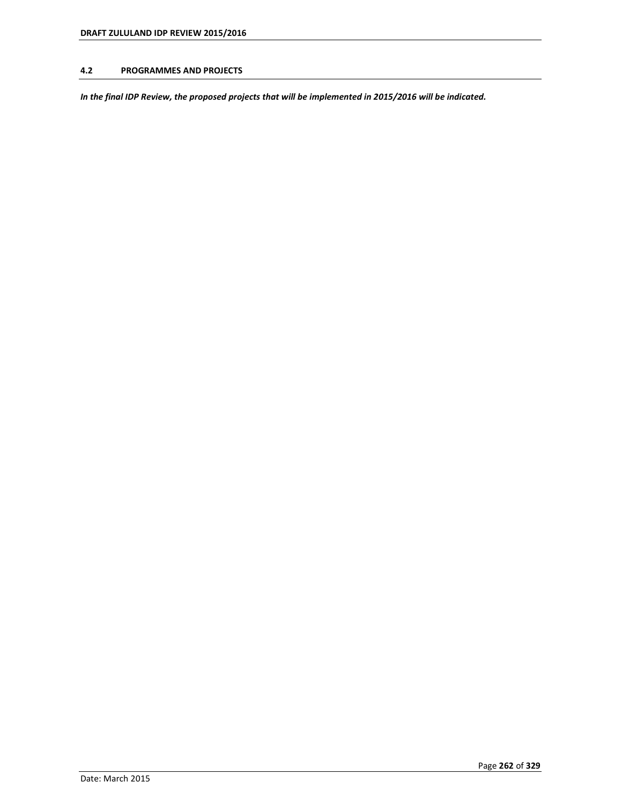## **4.2 PROGRAMMES AND PROJECTS**

*In the final IDP Review, the proposed projects that will be implemented in 2015/2016 will be indicated.*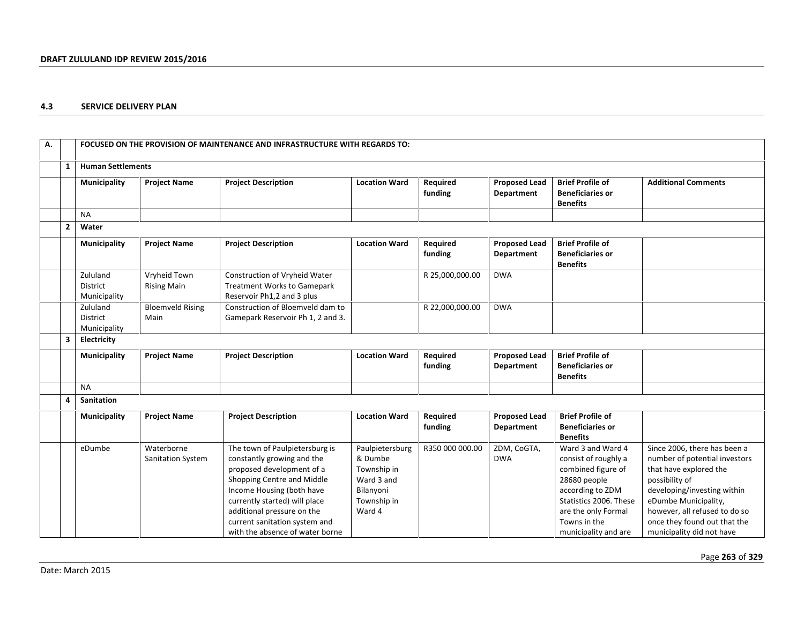## **4.3 SERVICE DELIVERY PLAN**

| А. |                |                                      |                                    | FOCUSED ON THE PROVISION OF MAINTENANCE AND INFRASTRUCTURE WITH REGARDS TO:                                                                                                                                                                                                             |                                                                                               |                     |                                           |                                                                                                                                                                                              |                                                                                                                                                                                                                                                                |
|----|----------------|--------------------------------------|------------------------------------|-----------------------------------------------------------------------------------------------------------------------------------------------------------------------------------------------------------------------------------------------------------------------------------------|-----------------------------------------------------------------------------------------------|---------------------|-------------------------------------------|----------------------------------------------------------------------------------------------------------------------------------------------------------------------------------------------|----------------------------------------------------------------------------------------------------------------------------------------------------------------------------------------------------------------------------------------------------------------|
|    | 1              | <b>Human Settlements</b>             |                                    |                                                                                                                                                                                                                                                                                         |                                                                                               |                     |                                           |                                                                                                                                                                                              |                                                                                                                                                                                                                                                                |
|    |                | Municipality                         | <b>Project Name</b>                | <b>Project Description</b>                                                                                                                                                                                                                                                              | <b>Location Ward</b>                                                                          | Required<br>funding | <b>Proposed Lead</b><br>Department        | <b>Brief Profile of</b><br><b>Beneficiaries or</b><br><b>Benefits</b>                                                                                                                        | <b>Additional Comments</b>                                                                                                                                                                                                                                     |
|    |                | <b>NA</b>                            |                                    |                                                                                                                                                                                                                                                                                         |                                                                                               |                     |                                           |                                                                                                                                                                                              |                                                                                                                                                                                                                                                                |
|    | $\overline{2}$ | Water                                |                                    |                                                                                                                                                                                                                                                                                         |                                                                                               |                     |                                           |                                                                                                                                                                                              |                                                                                                                                                                                                                                                                |
|    |                | Municipality                         | <b>Project Name</b>                | <b>Project Description</b>                                                                                                                                                                                                                                                              | <b>Location Ward</b>                                                                          | Required<br>funding | <b>Proposed Lead</b><br><b>Department</b> | <b>Brief Profile of</b><br><b>Beneficiaries or</b><br><b>Benefits</b>                                                                                                                        |                                                                                                                                                                                                                                                                |
|    |                | Zululand<br>District<br>Municipality | Vryheid Town<br><b>Rising Main</b> | Construction of Vryheid Water<br>Treatment Works to Gamepark<br>Reservoir Ph1,2 and 3 plus                                                                                                                                                                                              |                                                                                               | R 25,000,000.00     | <b>DWA</b>                                |                                                                                                                                                                                              |                                                                                                                                                                                                                                                                |
|    |                | Zululand<br>District<br>Municipality | <b>Bloemveld Rising</b><br>Main    | Construction of Bloemveld dam to<br>Gamepark Reservoir Ph 1, 2 and 3.                                                                                                                                                                                                                   |                                                                                               | R 22,000,000.00     | <b>DWA</b>                                |                                                                                                                                                                                              |                                                                                                                                                                                                                                                                |
|    | 3              | Electricity                          |                                    |                                                                                                                                                                                                                                                                                         |                                                                                               |                     |                                           |                                                                                                                                                                                              |                                                                                                                                                                                                                                                                |
|    |                | Municipality                         | <b>Project Name</b>                | <b>Project Description</b>                                                                                                                                                                                                                                                              | <b>Location Ward</b>                                                                          | Required<br>funding | <b>Proposed Lead</b><br><b>Department</b> | <b>Brief Profile of</b><br><b>Beneficiaries or</b><br><b>Benefits</b>                                                                                                                        |                                                                                                                                                                                                                                                                |
|    |                | <b>NA</b>                            |                                    |                                                                                                                                                                                                                                                                                         |                                                                                               |                     |                                           |                                                                                                                                                                                              |                                                                                                                                                                                                                                                                |
|    | 4              | Sanitation                           |                                    |                                                                                                                                                                                                                                                                                         |                                                                                               |                     |                                           |                                                                                                                                                                                              |                                                                                                                                                                                                                                                                |
|    |                | Municipality                         | <b>Project Name</b>                | <b>Project Description</b>                                                                                                                                                                                                                                                              | <b>Location Ward</b>                                                                          | Required<br>funding | <b>Proposed Lead</b><br>Department        | <b>Brief Profile of</b><br><b>Beneficiaries or</b><br><b>Benefits</b>                                                                                                                        |                                                                                                                                                                                                                                                                |
|    |                | eDumbe                               | Waterborne<br>Sanitation System    | The town of Paulpietersburg is<br>constantly growing and the<br>proposed development of a<br>Shopping Centre and Middle<br>Income Housing (both have<br>currently started) will place<br>additional pressure on the<br>current sanitation system and<br>with the absence of water borne | Paulpietersburg<br>& Dumbe<br>Township in<br>Ward 3 and<br>Bilanyoni<br>Township in<br>Ward 4 | R350 000 000.00     | ZDM, CoGTA,<br><b>DWA</b>                 | Ward 3 and Ward 4<br>consist of roughly a<br>combined figure of<br>28680 people<br>according to ZDM<br>Statistics 2006. These<br>are the only Formal<br>Towns in the<br>municipality and are | Since 2006, there has been a<br>number of potential investors<br>that have explored the<br>possibility of<br>developing/investing within<br>eDumbe Municipality,<br>however, all refused to do so<br>once they found out that the<br>municipality did not have |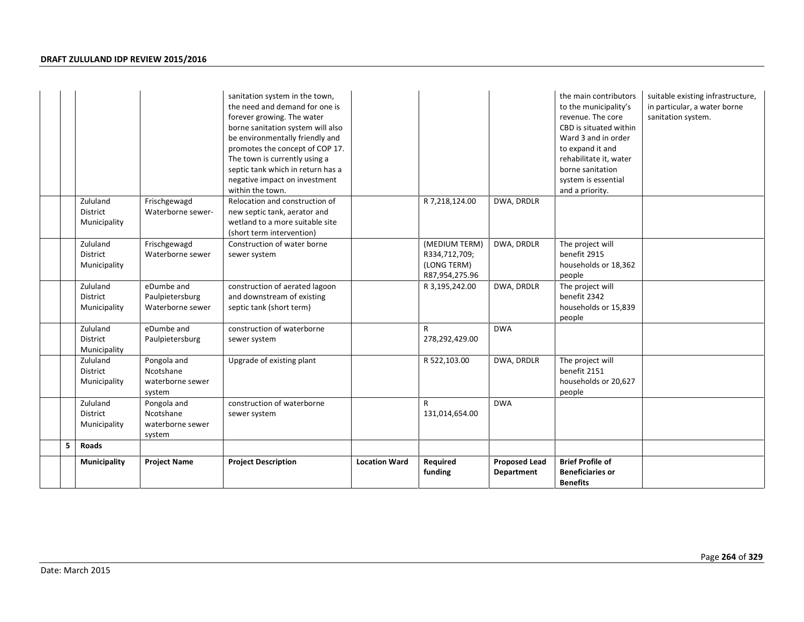|   |                                             |                                                        | sanitation system in the town,<br>the need and demand for one is<br>forever growing. The water<br>borne sanitation system will also<br>be environmentally friendly and<br>promotes the concept of COP 17.<br>The town is currently using a<br>septic tank which in return has a<br>negative impact on investment<br>within the town. |                      |                                                                 |                                    | the main contributors<br>to the municipality's<br>revenue. The core<br>CBD is situated within<br>Ward 3 and in order<br>to expand it and<br>rehabilitate it, water<br>borne sanitation<br>system is essential<br>and a priority. | suitable existing infrastructure,<br>in particular, a water borne<br>sanitation system. |
|---|---------------------------------------------|--------------------------------------------------------|--------------------------------------------------------------------------------------------------------------------------------------------------------------------------------------------------------------------------------------------------------------------------------------------------------------------------------------|----------------------|-----------------------------------------------------------------|------------------------------------|----------------------------------------------------------------------------------------------------------------------------------------------------------------------------------------------------------------------------------|-----------------------------------------------------------------------------------------|
|   | Zululand<br><b>District</b><br>Municipality | Frischgewagd<br>Waterborne sewer-                      | Relocation and construction of<br>new septic tank, aerator and<br>wetland to a more suitable site<br>(short term intervention)                                                                                                                                                                                                       |                      | R 7,218,124.00                                                  | DWA, DRDLR                         |                                                                                                                                                                                                                                  |                                                                                         |
|   | Zululand<br>District<br>Municipality        | Frischgewagd<br>Waterborne sewer                       | Construction of water borne<br>sewer system                                                                                                                                                                                                                                                                                          |                      | (MEDIUM TERM)<br>R334,712,709;<br>(LONG TERM)<br>R87,954,275.96 | DWA, DRDLR                         | The project will<br>benefit 2915<br>households or 18,362<br>people                                                                                                                                                               |                                                                                         |
|   | Zululand<br><b>District</b><br>Municipality | eDumbe and<br>Paulpietersburg<br>Waterborne sewer      | construction of aerated lagoon<br>and downstream of existing<br>septic tank (short term)                                                                                                                                                                                                                                             |                      | R 3,195,242.00                                                  | DWA, DRDLR                         | The project will<br>benefit 2342<br>households or 15,839<br>people                                                                                                                                                               |                                                                                         |
|   | Zululand<br>District<br>Municipality        | eDumbe and<br>Paulpietersburg                          | construction of waterborne<br>sewer system                                                                                                                                                                                                                                                                                           |                      | R<br>278,292,429.00                                             | <b>DWA</b>                         |                                                                                                                                                                                                                                  |                                                                                         |
|   | Zululand<br>District<br>Municipality        | Pongola and<br>Ncotshane<br>waterborne sewer<br>system | Upgrade of existing plant                                                                                                                                                                                                                                                                                                            |                      | R 522,103.00                                                    | DWA, DRDLR                         | The project will<br>benefit 2151<br>households or 20,627<br>people                                                                                                                                                               |                                                                                         |
|   | Zululand<br>District<br>Municipality        | Pongola and<br>Ncotshane<br>waterborne sewer<br>system | construction of waterborne<br>sewer system                                                                                                                                                                                                                                                                                           |                      | $\mathsf{R}$<br>131,014,654.00                                  | <b>DWA</b>                         |                                                                                                                                                                                                                                  |                                                                                         |
| 5 | <b>Roads</b>                                |                                                        |                                                                                                                                                                                                                                                                                                                                      |                      |                                                                 |                                    |                                                                                                                                                                                                                                  |                                                                                         |
|   | Municipality                                | <b>Project Name</b>                                    | <b>Project Description</b>                                                                                                                                                                                                                                                                                                           | <b>Location Ward</b> | Required<br>funding                                             | <b>Proposed Lead</b><br>Department | <b>Brief Profile of</b><br><b>Beneficiaries or</b><br><b>Benefits</b>                                                                                                                                                            |                                                                                         |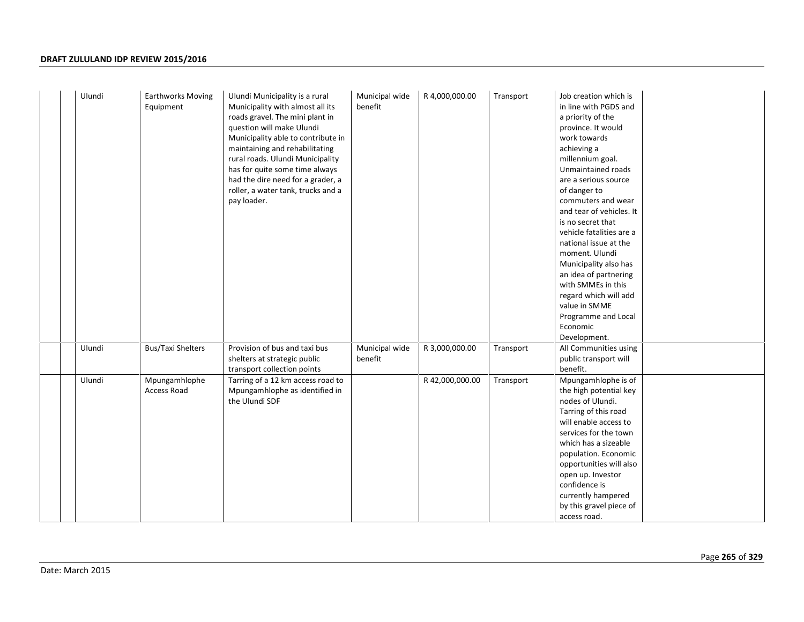| Ulundi | <b>Earthworks Moving</b><br>Equipment | Ulundi Municipality is a rural<br>Municipality with almost all its<br>roads gravel. The mini plant in<br>question will make Ulundi<br>Municipality able to contribute in<br>maintaining and rehabilitating<br>rural roads. Ulundi Municipality<br>has for quite some time always<br>had the dire need for a grader, a<br>roller, a water tank, trucks and a<br>pay loader. | Municipal wide<br>benefit | R 4,000,000.00  | Transport | Job creation which is<br>in line with PGDS and<br>a priority of the<br>province. It would<br>work towards<br>achieving a<br>millennium goal.<br>Unmaintained roads<br>are a serious source<br>of danger to<br>commuters and wear<br>and tear of vehicles. It<br>is no secret that<br>vehicle fatalities are a<br>national issue at the<br>moment. Ulundi<br>Municipality also has<br>an idea of partnering<br>with SMMEs in this<br>regard which will add<br>value in SMME<br>Programme and Local<br>Economic |
|--------|---------------------------------------|----------------------------------------------------------------------------------------------------------------------------------------------------------------------------------------------------------------------------------------------------------------------------------------------------------------------------------------------------------------------------|---------------------------|-----------------|-----------|---------------------------------------------------------------------------------------------------------------------------------------------------------------------------------------------------------------------------------------------------------------------------------------------------------------------------------------------------------------------------------------------------------------------------------------------------------------------------------------------------------------|
|        |                                       |                                                                                                                                                                                                                                                                                                                                                                            |                           |                 |           | Development.                                                                                                                                                                                                                                                                                                                                                                                                                                                                                                  |
| Ulundi | <b>Bus/Taxi Shelters</b>              | Provision of bus and taxi bus<br>shelters at strategic public<br>transport collection points                                                                                                                                                                                                                                                                               | Municipal wide<br>benefit | R 3,000,000.00  | Transport | All Communities using<br>public transport will<br>benefit.                                                                                                                                                                                                                                                                                                                                                                                                                                                    |
| Ulundi | Mpungamhlophe<br><b>Access Road</b>   | Tarring of a 12 km access road to<br>Mpungamhlophe as identified in<br>the Ulundi SDF                                                                                                                                                                                                                                                                                      |                           | R 42,000,000.00 | Transport | Mpungamhlophe is of<br>the high potential key<br>nodes of Ulundi.<br>Tarring of this road<br>will enable access to<br>services for the town<br>which has a sizeable<br>population. Economic<br>opportunities will also<br>open up. Investor<br>confidence is<br>currently hampered<br>by this gravel piece of<br>access road.                                                                                                                                                                                 |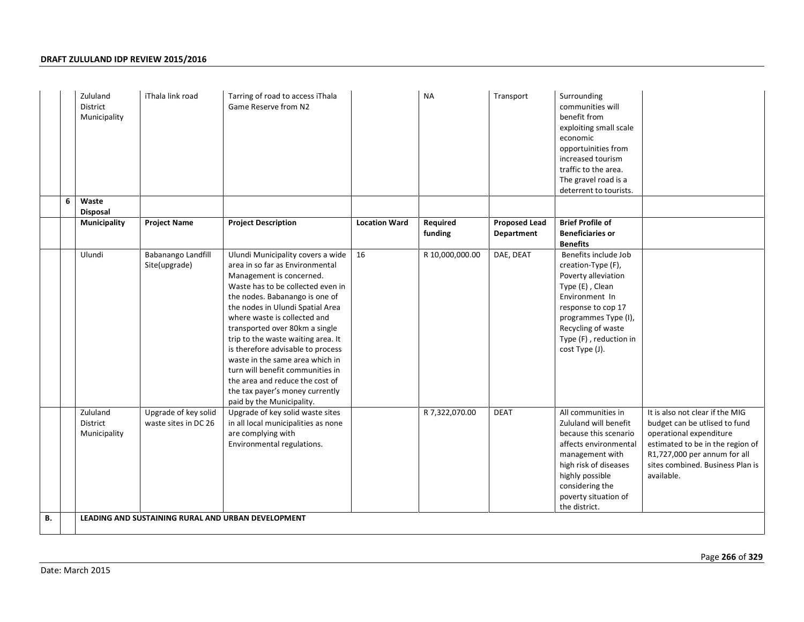|    |   | Zululand<br><b>District</b><br>Municipality | iThala link road                             | Tarring of road to access iThala<br>Game Reserve from N2                                                                                                                                                                                                                                                                                                                                                                                                                                                                           |                      | <b>NA</b>           | Transport                          | Surrounding<br>communities will<br>benefit from<br>exploiting small scale<br>economic<br>opportuinities from<br>increased tourism<br>traffic to the area.<br>The gravel road is a<br>deterrent to tourists.              |                                                                                                                                                                                                                   |
|----|---|---------------------------------------------|----------------------------------------------|------------------------------------------------------------------------------------------------------------------------------------------------------------------------------------------------------------------------------------------------------------------------------------------------------------------------------------------------------------------------------------------------------------------------------------------------------------------------------------------------------------------------------------|----------------------|---------------------|------------------------------------|--------------------------------------------------------------------------------------------------------------------------------------------------------------------------------------------------------------------------|-------------------------------------------------------------------------------------------------------------------------------------------------------------------------------------------------------------------|
|    | 6 | Waste<br><b>Disposal</b>                    |                                              |                                                                                                                                                                                                                                                                                                                                                                                                                                                                                                                                    |                      |                     |                                    |                                                                                                                                                                                                                          |                                                                                                                                                                                                                   |
|    |   | Municipality                                | <b>Project Name</b>                          | <b>Project Description</b>                                                                                                                                                                                                                                                                                                                                                                                                                                                                                                         | <b>Location Ward</b> | Required<br>funding | <b>Proposed Lead</b><br>Department | <b>Brief Profile of</b><br><b>Beneficiaries or</b><br><b>Benefits</b>                                                                                                                                                    |                                                                                                                                                                                                                   |
|    |   | Ulundi                                      | Babanango Landfill<br>Site(upgrade)          | Ulundi Municipality covers a wide<br>area in so far as Environmental<br>Management is concerned.<br>Waste has to be collected even in<br>the nodes. Babanango is one of<br>the nodes in Ulundi Spatial Area<br>where waste is collected and<br>transported over 80km a single<br>trip to the waste waiting area. It<br>is therefore advisable to process<br>waste in the same area which in<br>turn will benefit communities in<br>the area and reduce the cost of<br>the tax payer's money currently<br>paid by the Municipality. | 16                   | R 10,000,000.00     | DAE, DEAT                          | Benefits include Job<br>creation-Type (F),<br>Poverty alleviation<br>Type (E), Clean<br>Environment In<br>response to cop 17<br>programmes Type (I),<br>Recycling of waste<br>Type (F), reduction in<br>cost Type (J).   |                                                                                                                                                                                                                   |
|    |   | Zululand<br>District<br>Municipality        | Upgrade of key solid<br>waste sites in DC 26 | Upgrade of key solid waste sites<br>in all local municipalities as none<br>are complying with<br>Environmental regulations.                                                                                                                                                                                                                                                                                                                                                                                                        |                      | R 7,322,070.00      | <b>DEAT</b>                        | All communities in<br>Zululand will benefit<br>because this scenario<br>affects environmental<br>management with<br>high risk of diseases<br>highly possible<br>considering the<br>poverty situation of<br>the district. | It is also not clear if the MIG<br>budget can be utlised to fund<br>operational expenditure<br>estimated to be in the region of<br>R1,727,000 per annum for all<br>sites combined. Business Plan is<br>available. |
| В. |   |                                             |                                              | LEADING AND SUSTAINING RURAL AND URBAN DEVELOPMENT                                                                                                                                                                                                                                                                                                                                                                                                                                                                                 |                      |                     |                                    |                                                                                                                                                                                                                          |                                                                                                                                                                                                                   |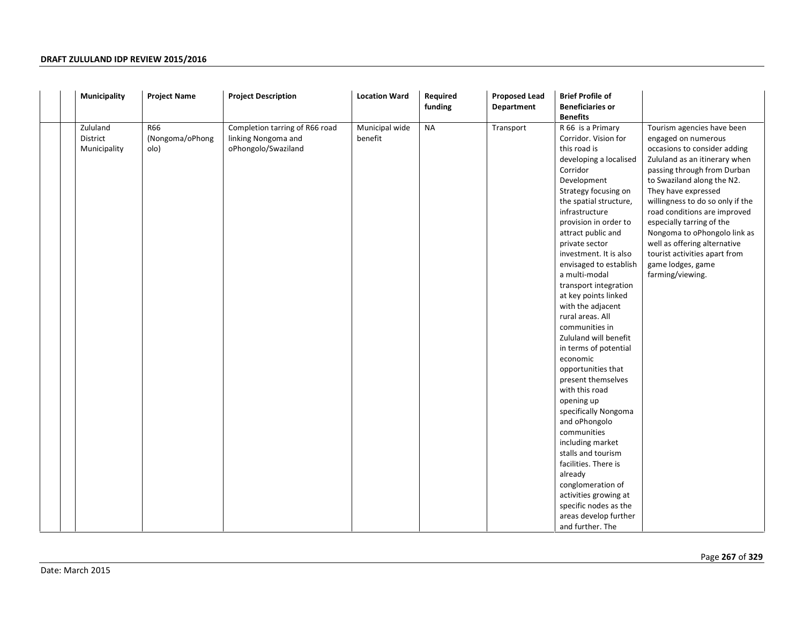| Municipality                         | <b>Project Name</b>            | <b>Project Description</b>                                                   | <b>Location Ward</b>      | Required<br>funding | <b>Proposed Lead</b><br>Department | <b>Brief Profile of</b><br><b>Beneficiaries or</b><br><b>Benefits</b>                                                                                                                                                                                                                                                                                                                                                                                                                                                                                                                                                                                                                                                                                                                                                                   |                                                                                                                                                                                                                                                                                                                                                                                                                                                   |
|--------------------------------------|--------------------------------|------------------------------------------------------------------------------|---------------------------|---------------------|------------------------------------|-----------------------------------------------------------------------------------------------------------------------------------------------------------------------------------------------------------------------------------------------------------------------------------------------------------------------------------------------------------------------------------------------------------------------------------------------------------------------------------------------------------------------------------------------------------------------------------------------------------------------------------------------------------------------------------------------------------------------------------------------------------------------------------------------------------------------------------------|---------------------------------------------------------------------------------------------------------------------------------------------------------------------------------------------------------------------------------------------------------------------------------------------------------------------------------------------------------------------------------------------------------------------------------------------------|
| Zululand<br>District<br>Municipality | R66<br>(Nongoma/oPhong<br>olo) | Completion tarring of R66 road<br>linking Nongoma and<br>oPhongolo/Swaziland | Municipal wide<br>benefit | <b>NA</b>           | Transport                          | R 66 is a Primary<br>Corridor. Vision for<br>this road is<br>developing a localised<br>Corridor<br>Development<br>Strategy focusing on<br>the spatial structure,<br>infrastructure<br>provision in order to<br>attract public and<br>private sector<br>investment. It is also<br>envisaged to establish<br>a multi-modal<br>transport integration<br>at key points linked<br>with the adjacent<br>rural areas. All<br>communities in<br>Zululand will benefit<br>in terms of potential<br>economic<br>opportunities that<br>present themselves<br>with this road<br>opening up<br>specifically Nongoma<br>and oPhongolo<br>communities<br>including market<br>stalls and tourism<br>facilities. There is<br>already<br>conglomeration of<br>activities growing at<br>specific nodes as the<br>areas develop further<br>and further. The | Tourism agencies have been<br>engaged on numerous<br>occasions to consider adding<br>Zululand as an itinerary when<br>passing through from Durban<br>to Swaziland along the N2.<br>They have expressed<br>willingness to do so only if the<br>road conditions are improved<br>especially tarring of the<br>Nongoma to oPhongolo link as<br>well as offering alternative<br>tourist activities apart from<br>game lodges, game<br>farming/viewing. |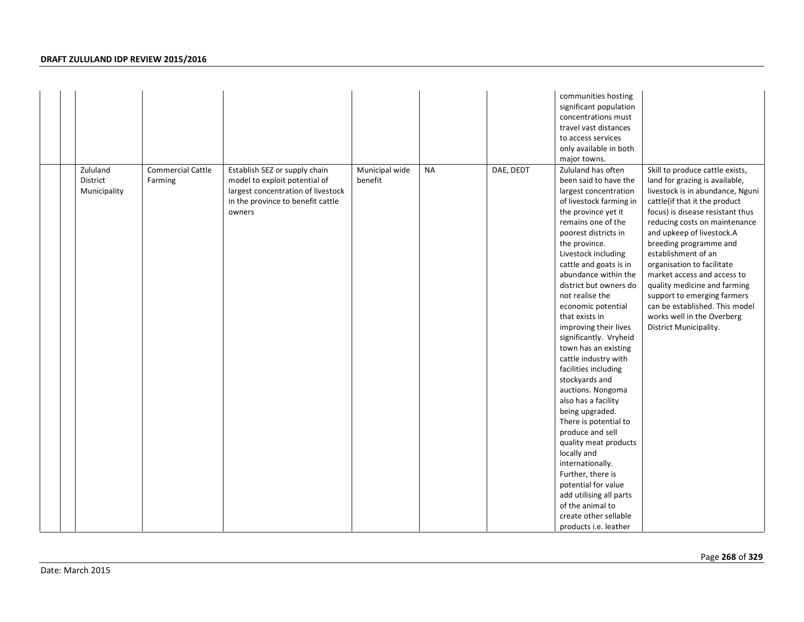|                                      |                                     |                                                                                                                                                     |                           |           |           | communities hosting<br>significant population<br>concentrations must<br>travel vast distances<br>to access services<br>only available in both<br>major towns.                                                                                                                                                                                                                                                                                                                                                                                                                                                                                                                                                                                                                                                         |                                                                                                                                                                                                                                                                                                                                                                                                                                                                                                                 |
|--------------------------------------|-------------------------------------|-----------------------------------------------------------------------------------------------------------------------------------------------------|---------------------------|-----------|-----------|-----------------------------------------------------------------------------------------------------------------------------------------------------------------------------------------------------------------------------------------------------------------------------------------------------------------------------------------------------------------------------------------------------------------------------------------------------------------------------------------------------------------------------------------------------------------------------------------------------------------------------------------------------------------------------------------------------------------------------------------------------------------------------------------------------------------------|-----------------------------------------------------------------------------------------------------------------------------------------------------------------------------------------------------------------------------------------------------------------------------------------------------------------------------------------------------------------------------------------------------------------------------------------------------------------------------------------------------------------|
| Zululand<br>District<br>Municipality | <b>Commercial Cattle</b><br>Farming | Establish SEZ or supply chain<br>model to exploit potential of<br>largest concentration of livestock<br>in the province to benefit cattle<br>owners | Municipal wide<br>benefit | <b>NA</b> | DAE, DEDT | Zululand has often<br>been said to have the<br>largest concentration<br>of livestock farming in<br>the province yet it<br>remains one of the<br>poorest districts in<br>the province.<br>Livestock including<br>cattle and goats is in<br>abundance within the<br>district but owners do<br>not realise the<br>economic potential<br>that exists in<br>improving their lives<br>significantly. Vryheid<br>town has an existing<br>cattle industry with<br>facilities including<br>stockyards and<br>auctions. Nongoma<br>also has a facility<br>being upgraded.<br>There is potential to<br>produce and sell<br>quality meat products<br>locally and<br>internationally.<br>Further, there is<br>potential for value<br>add utilising all parts<br>of the animal to<br>create other sellable<br>products i.e. leather | Skill to produce cattle exists,<br>land for grazing is available,<br>livestock is in abundance, Nguni<br>cattle(if that it the product<br>focus) is disease resistant thus<br>reducing costs on maintenance<br>and upkeep of livestock.A<br>breeding programme and<br>establishment of an<br>organisation to facilitate<br>market access and access to<br>quality medicine and farming<br>support to emerging farmers<br>can be established. This model<br>works well in the Overberg<br>District Municipality. |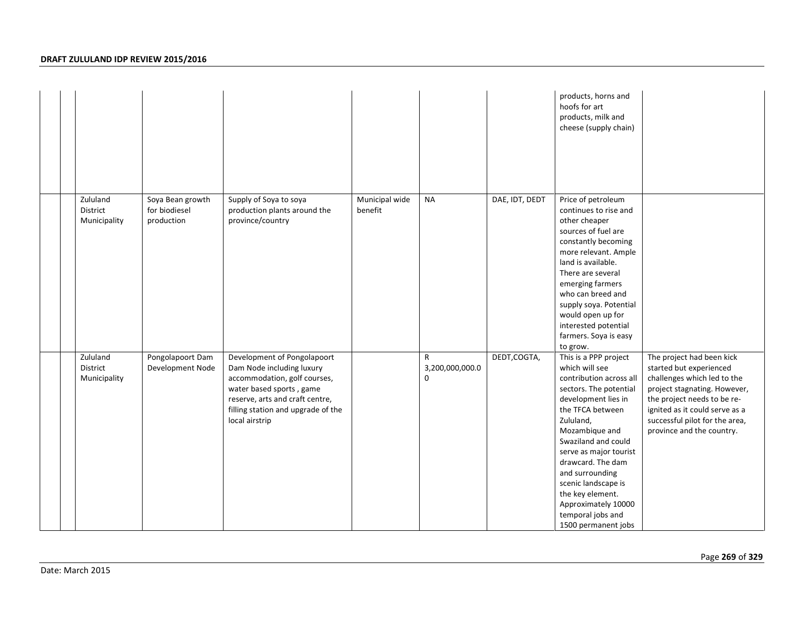|                                      |                                                 |                                                                                                                                                                                                                 |                           |                                      |                | products, horns and<br>hoofs for art<br>products, milk and<br>cheese (supply chain)                                                                                                                                                                                                                                                                                           |                                                                                                                                                                                                                                                     |
|--------------------------------------|-------------------------------------------------|-----------------------------------------------------------------------------------------------------------------------------------------------------------------------------------------------------------------|---------------------------|--------------------------------------|----------------|-------------------------------------------------------------------------------------------------------------------------------------------------------------------------------------------------------------------------------------------------------------------------------------------------------------------------------------------------------------------------------|-----------------------------------------------------------------------------------------------------------------------------------------------------------------------------------------------------------------------------------------------------|
| Zululand<br>District<br>Municipality | Soya Bean growth<br>for biodiesel<br>production | Supply of Soya to soya<br>production plants around the<br>province/country                                                                                                                                      | Municipal wide<br>benefit | <b>NA</b>                            | DAE, IDT, DEDT | Price of petroleum<br>continues to rise and<br>other cheaper<br>sources of fuel are<br>constantly becoming<br>more relevant. Ample<br>land is available.<br>There are several<br>emerging farmers<br>who can breed and<br>supply soya. Potential<br>would open up for<br>interested potential<br>farmers. Soya is easy<br>to grow.                                            |                                                                                                                                                                                                                                                     |
| Zululand<br>District<br>Municipality | Pongolapoort Dam<br>Development Node            | Development of Pongolapoort<br>Dam Node including luxury<br>accommodation, golf courses,<br>water based sports, game<br>reserve, arts and craft centre,<br>filling station and upgrade of the<br>local airstrip |                           | $\mathsf{R}$<br>3,200,000,000.0<br>0 | DEDT, COGTA,   | This is a PPP project<br>which will see<br>contribution across all<br>sectors. The potential<br>development lies in<br>the TFCA between<br>Zululand,<br>Mozambique and<br>Swaziland and could<br>serve as major tourist<br>drawcard. The dam<br>and surrounding<br>scenic landscape is<br>the key element.<br>Approximately 10000<br>temporal jobs and<br>1500 permanent jobs | The project had been kick<br>started but experienced<br>challenges which led to the<br>project stagnating. However,<br>the project needs to be re-<br>ignited as it could serve as a<br>successful pilot for the area,<br>province and the country. |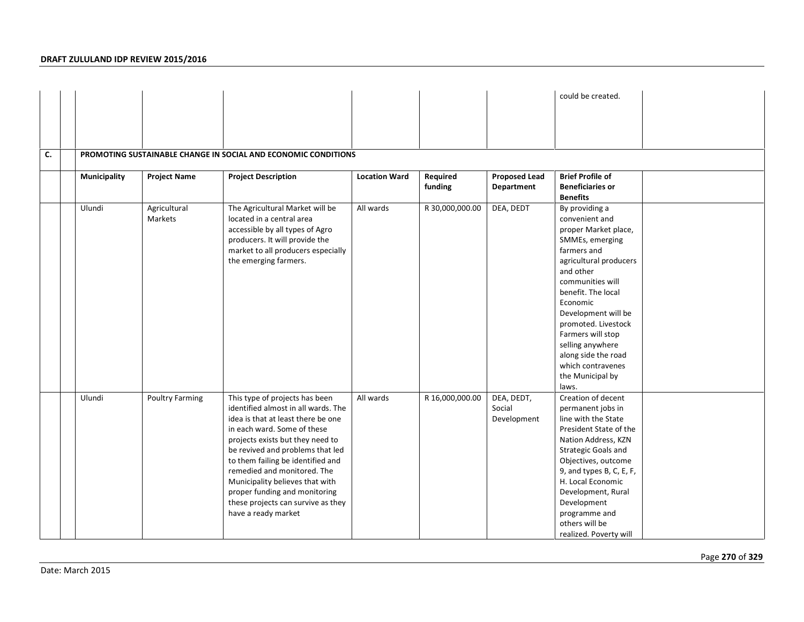|    |              |                         |                                                                                                                                                                                                                                                                                                                                                                                                                         |                      |                     |                                     | could be created.                                                                                                                                                                                                                                                                                                                                       |  |
|----|--------------|-------------------------|-------------------------------------------------------------------------------------------------------------------------------------------------------------------------------------------------------------------------------------------------------------------------------------------------------------------------------------------------------------------------------------------------------------------------|----------------------|---------------------|-------------------------------------|---------------------------------------------------------------------------------------------------------------------------------------------------------------------------------------------------------------------------------------------------------------------------------------------------------------------------------------------------------|--|
|    |              |                         |                                                                                                                                                                                                                                                                                                                                                                                                                         |                      |                     |                                     |                                                                                                                                                                                                                                                                                                                                                         |  |
|    |              |                         |                                                                                                                                                                                                                                                                                                                                                                                                                         |                      |                     |                                     |                                                                                                                                                                                                                                                                                                                                                         |  |
| C. |              |                         | PROMOTING SUSTAINABLE CHANGE IN SOCIAL AND ECONOMIC CONDITIONS                                                                                                                                                                                                                                                                                                                                                          |                      |                     |                                     |                                                                                                                                                                                                                                                                                                                                                         |  |
|    | Municipality | <b>Project Name</b>     | <b>Project Description</b>                                                                                                                                                                                                                                                                                                                                                                                              | <b>Location Ward</b> | Required<br>funding | <b>Proposed Lead</b><br>Department  | <b>Brief Profile of</b><br><b>Beneficiaries or</b><br><b>Benefits</b>                                                                                                                                                                                                                                                                                   |  |
|    | Ulundi       | Agricultural<br>Markets | The Agricultural Market will be<br>located in a central area<br>accessible by all types of Agro<br>producers. It will provide the<br>market to all producers especially<br>the emerging farmers.                                                                                                                                                                                                                        | All wards            | R 30,000,000.00     | DEA, DEDT                           | By providing a<br>convenient and<br>proper Market place,<br>SMMEs, emerging<br>farmers and<br>agricultural producers<br>and other<br>communities will<br>benefit. The local<br>Economic<br>Development will be<br>promoted. Livestock<br>Farmers will stop<br>selling anywhere<br>along side the road<br>which contravenes<br>the Municipal by<br>laws. |  |
|    | Ulundi       | Poultry Farming         | This type of projects has been<br>identified almost in all wards. The<br>idea is that at least there be one<br>in each ward. Some of these<br>projects exists but they need to<br>be revived and problems that led<br>to them failing be identified and<br>remedied and monitored. The<br>Municipality believes that with<br>proper funding and monitoring<br>these projects can survive as they<br>have a ready market | All wards            | R 16,000,000.00     | DEA, DEDT,<br>Social<br>Development | Creation of decent<br>permanent jobs in<br>line with the State<br>President State of the<br>Nation Address, KZN<br>Strategic Goals and<br>Objectives, outcome<br>9, and types B, C, E, F,<br>H. Local Economic<br>Development, Rural<br>Development<br>programme and<br>others will be<br>realized. Poverty will                                        |  |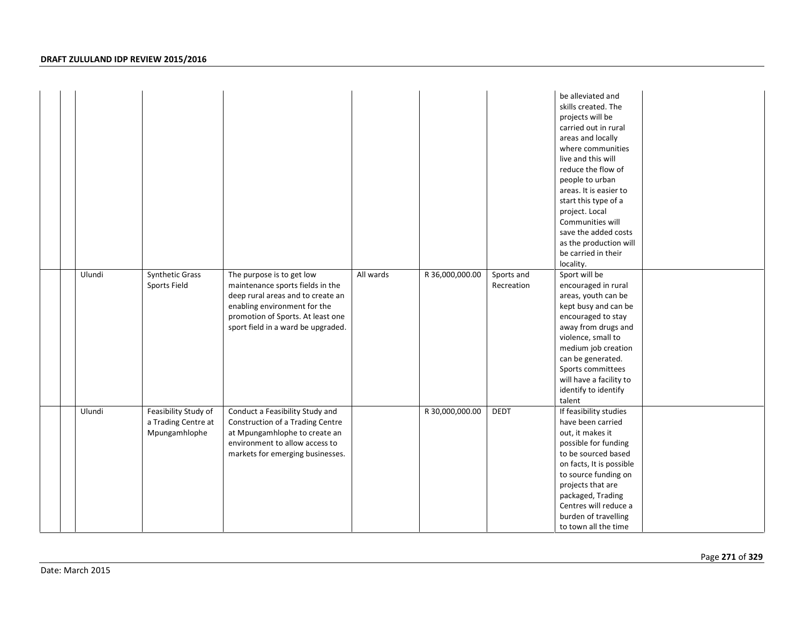|  |        |                                                              |                                                                                                                                                                                                               |           |                 |                          | be alleviated and<br>skills created. The<br>projects will be<br>carried out in rural<br>areas and locally<br>where communities<br>live and this will<br>reduce the flow of<br>people to urban<br>areas. It is easier to<br>start this type of a<br>project. Local<br>Communities will<br>save the added costs<br>as the production will<br>be carried in their<br>locality. |  |
|--|--------|--------------------------------------------------------------|---------------------------------------------------------------------------------------------------------------------------------------------------------------------------------------------------------------|-----------|-----------------|--------------------------|-----------------------------------------------------------------------------------------------------------------------------------------------------------------------------------------------------------------------------------------------------------------------------------------------------------------------------------------------------------------------------|--|
|  | Ulundi | Synthetic Grass<br>Sports Field                              | The purpose is to get low<br>maintenance sports fields in the<br>deep rural areas and to create an<br>enabling environment for the<br>promotion of Sports. At least one<br>sport field in a ward be upgraded. | All wards | R 36,000,000.00 | Sports and<br>Recreation | Sport will be<br>encouraged in rural<br>areas, youth can be<br>kept busy and can be<br>encouraged to stay<br>away from drugs and<br>violence, small to<br>medium job creation<br>can be generated.<br>Sports committees<br>will have a facility to<br>identify to identify<br>talent                                                                                        |  |
|  | Ulundi | Feasibility Study of<br>a Trading Centre at<br>Mpungamhlophe | Conduct a Feasibility Study and<br>Construction of a Trading Centre<br>at Mpungamhlophe to create an<br>environment to allow access to<br>markets for emerging businesses.                                    |           | R 30,000,000.00 | <b>DEDT</b>              | If feasibility studies<br>have been carried<br>out, it makes it<br>possible for funding<br>to be sourced based<br>on facts, It is possible<br>to source funding on<br>projects that are<br>packaged, Trading<br>Centres will reduce a<br>burden of travelling<br>to town all the time                                                                                       |  |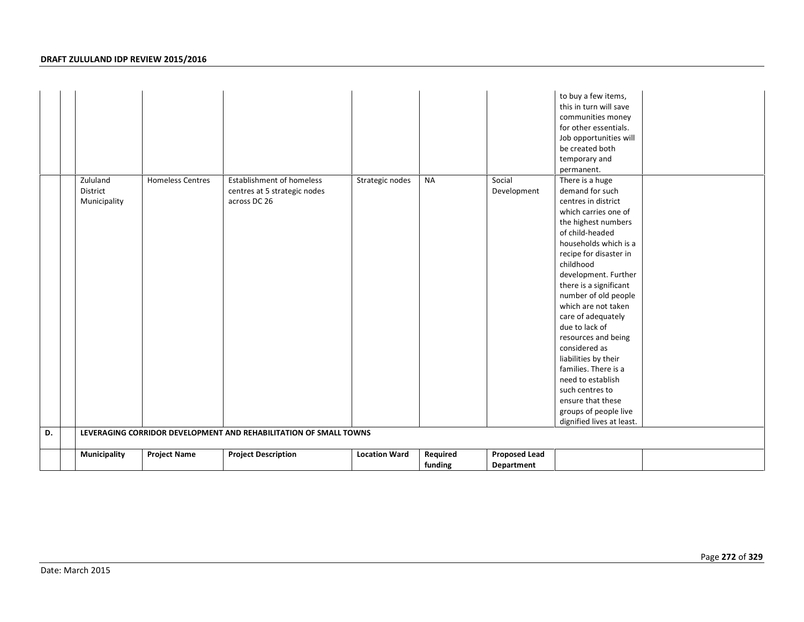|    |                              |                         |                                                                                                                                                 |                      | funding   | Department            |                                                                                                                                                                                                                                                                                                                                                                                                                                                                                                           |  |
|----|------------------------------|-------------------------|-------------------------------------------------------------------------------------------------------------------------------------------------|----------------------|-----------|-----------------------|-----------------------------------------------------------------------------------------------------------------------------------------------------------------------------------------------------------------------------------------------------------------------------------------------------------------------------------------------------------------------------------------------------------------------------------------------------------------------------------------------------------|--|
|    |                              |                         |                                                                                                                                                 |                      |           |                       |                                                                                                                                                                                                                                                                                                                                                                                                                                                                                                           |  |
| D. | Municipality<br>Municipality | <b>Project Name</b>     | centres at 5 strategic nodes<br>across DC 26<br>LEVERAGING CORRIDOR DEVELOPMENT AND REHABILITATION OF SMALL TOWNS<br><b>Project Description</b> | <b>Location Ward</b> | Required  | <b>Proposed Lead</b>  | centres in district<br>which carries one of<br>the highest numbers<br>of child-headed<br>households which is a<br>recipe for disaster in<br>childhood<br>development. Further<br>there is a significant<br>number of old people<br>which are not taken<br>care of adequately<br>due to lack of<br>resources and being<br>considered as<br>liabilities by their<br>families. There is a<br>need to establish<br>such centres to<br>ensure that these<br>groups of people live<br>dignified lives at least. |  |
|    | Zululand<br>District         | <b>Homeless Centres</b> | <b>Establishment of homeless</b>                                                                                                                | Strategic nodes      | <b>NA</b> | Social<br>Development | to buy a few items,<br>this in turn will save<br>communities money<br>for other essentials.<br>Job opportunities will<br>be created both<br>temporary and<br>permanent.<br>There is a huge<br>demand for such                                                                                                                                                                                                                                                                                             |  |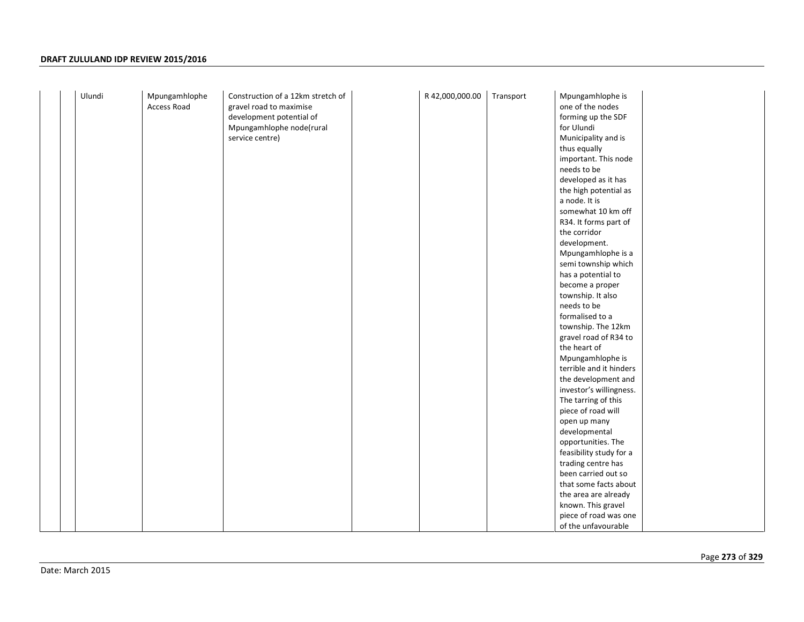| Ulundi | Mpungamhlophe<br>Access Road | Construction of a 12km stretch of<br>gravel road to maximise | R 42,000,000.00 | Transport | Mpungamhlophe is<br>one of the nodes          |
|--------|------------------------------|--------------------------------------------------------------|-----------------|-----------|-----------------------------------------------|
|        |                              |                                                              |                 |           | forming up the SDF                            |
|        |                              | development potential of<br>Mpungamhlophe node(rural         |                 |           | for Ulundi                                    |
|        |                              | service centre)                                              |                 |           | Municipality and is                           |
|        |                              |                                                              |                 |           | thus equally                                  |
|        |                              |                                                              |                 |           | important. This node                          |
|        |                              |                                                              |                 |           | needs to be                                   |
|        |                              |                                                              |                 |           | developed as it has                           |
|        |                              |                                                              |                 |           | the high potential as                         |
|        |                              |                                                              |                 |           | a node. It is                                 |
|        |                              |                                                              |                 |           | somewhat 10 km off                            |
|        |                              |                                                              |                 |           | R34. It forms part of                         |
|        |                              |                                                              |                 |           | the corridor                                  |
|        |                              |                                                              |                 |           | development.                                  |
|        |                              |                                                              |                 |           | Mpungamhlophe is a                            |
|        |                              |                                                              |                 |           | semi township which                           |
|        |                              |                                                              |                 |           | has a potential to                            |
|        |                              |                                                              |                 |           | become a proper                               |
|        |                              |                                                              |                 |           | township. It also                             |
|        |                              |                                                              |                 |           | needs to be                                   |
|        |                              |                                                              |                 |           | formalised to a                               |
|        |                              |                                                              |                 |           | township. The 12km                            |
|        |                              |                                                              |                 |           | gravel road of R34 to                         |
|        |                              |                                                              |                 |           | the heart of                                  |
|        |                              |                                                              |                 |           | Mpungamhlophe is                              |
|        |                              |                                                              |                 |           | terrible and it hinders                       |
|        |                              |                                                              |                 |           | the development and                           |
|        |                              |                                                              |                 |           | investor's willingness.                       |
|        |                              |                                                              |                 |           | The tarring of this                           |
|        |                              |                                                              |                 |           | piece of road will                            |
|        |                              |                                                              |                 |           | open up many                                  |
|        |                              |                                                              |                 |           | developmental                                 |
|        |                              |                                                              |                 |           | opportunities. The                            |
|        |                              |                                                              |                 |           | feasibility study for a                       |
|        |                              |                                                              |                 |           | trading centre has                            |
|        |                              |                                                              |                 |           | been carried out so                           |
|        |                              |                                                              |                 |           | that some facts about<br>the area are already |
|        |                              |                                                              |                 |           | known. This gravel                            |
|        |                              |                                                              |                 |           | piece of road was one                         |
|        |                              |                                                              |                 |           | of the unfavourable                           |
|        |                              |                                                              |                 |           |                                               |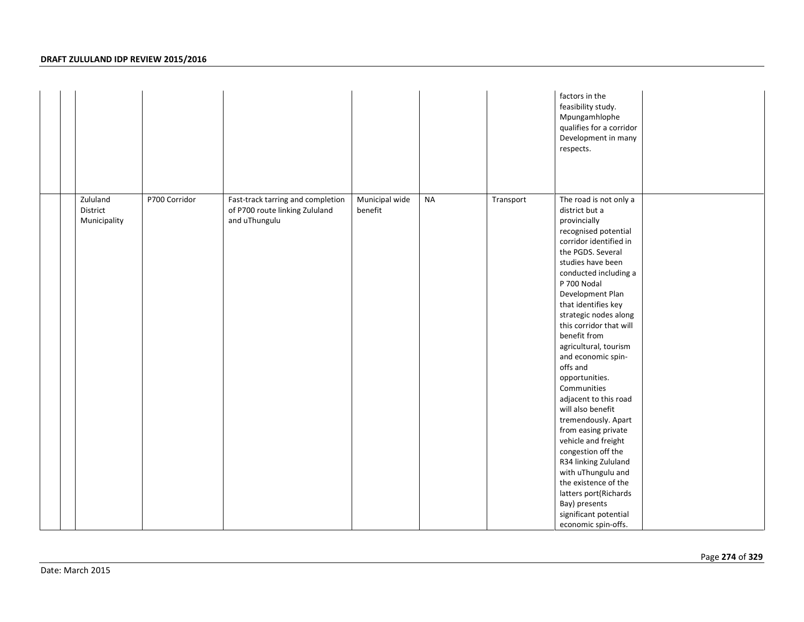|                                      |               |                                                                                      |                           |           |           | factors in the<br>feasibility study.<br>Mpungamhlophe<br>qualifies for a corridor<br>Development in many<br>respects.                                                                                                                                                                                                                                                                                                                                                                                                                                                                                                                                                                                            |
|--------------------------------------|---------------|--------------------------------------------------------------------------------------|---------------------------|-----------|-----------|------------------------------------------------------------------------------------------------------------------------------------------------------------------------------------------------------------------------------------------------------------------------------------------------------------------------------------------------------------------------------------------------------------------------------------------------------------------------------------------------------------------------------------------------------------------------------------------------------------------------------------------------------------------------------------------------------------------|
| Zululand<br>District<br>Municipality | P700 Corridor | Fast-track tarring and completion<br>of P700 route linking Zululand<br>and uThungulu | Municipal wide<br>benefit | <b>NA</b> | Transport | The road is not only a<br>district but a<br>provincially<br>recognised potential<br>corridor identified in<br>the PGDS. Several<br>studies have been<br>conducted including a<br>P 700 Nodal<br>Development Plan<br>that identifies key<br>strategic nodes along<br>this corridor that will<br>benefit from<br>agricultural, tourism<br>and economic spin-<br>offs and<br>opportunities.<br>Communities<br>adjacent to this road<br>will also benefit<br>tremendously. Apart<br>from easing private<br>vehicle and freight<br>congestion off the<br>R34 linking Zululand<br>with uThungulu and<br>the existence of the<br>latters port(Richards<br>Bay) presents<br>significant potential<br>economic spin-offs. |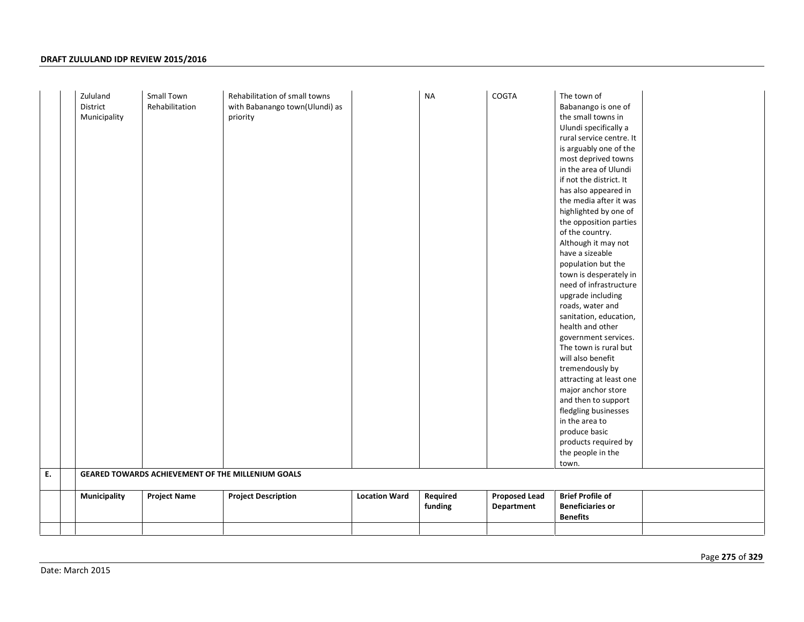|    | Zululand<br>District | Small Town<br>Rehabilitation | Rehabilitation of small towns<br>with Babanango town(Ulundi) as |                      | <b>NA</b> | COGTA                | The town of<br>Babanango is one of           |
|----|----------------------|------------------------------|-----------------------------------------------------------------|----------------------|-----------|----------------------|----------------------------------------------|
|    | Municipality         |                              | priority                                                        |                      |           |                      | the small towns in                           |
|    |                      |                              |                                                                 |                      |           |                      | Ulundi specifically a                        |
|    |                      |                              |                                                                 |                      |           |                      | rural service centre. It                     |
|    |                      |                              |                                                                 |                      |           |                      | is arguably one of the                       |
|    |                      |                              |                                                                 |                      |           |                      | most deprived towns                          |
|    |                      |                              |                                                                 |                      |           |                      | in the area of Ulundi                        |
|    |                      |                              |                                                                 |                      |           |                      | if not the district. It                      |
|    |                      |                              |                                                                 |                      |           |                      | has also appeared in                         |
|    |                      |                              |                                                                 |                      |           |                      | the media after it was                       |
|    |                      |                              |                                                                 |                      |           |                      | highlighted by one of                        |
|    |                      |                              |                                                                 |                      |           |                      | the opposition parties                       |
|    |                      |                              |                                                                 |                      |           |                      | of the country.                              |
|    |                      |                              |                                                                 |                      |           |                      | Although it may not                          |
|    |                      |                              |                                                                 |                      |           |                      | have a sizeable                              |
|    |                      |                              |                                                                 |                      |           |                      | population but the<br>town is desperately in |
|    |                      |                              |                                                                 |                      |           |                      | need of infrastructure                       |
|    |                      |                              |                                                                 |                      |           |                      | upgrade including                            |
|    |                      |                              |                                                                 |                      |           |                      | roads, water and                             |
|    |                      |                              |                                                                 |                      |           |                      | sanitation, education,                       |
|    |                      |                              |                                                                 |                      |           |                      | health and other                             |
|    |                      |                              |                                                                 |                      |           |                      | government services.                         |
|    |                      |                              |                                                                 |                      |           |                      | The town is rural but                        |
|    |                      |                              |                                                                 |                      |           |                      | will also benefit                            |
|    |                      |                              |                                                                 |                      |           |                      | tremendously by                              |
|    |                      |                              |                                                                 |                      |           |                      | attracting at least one                      |
|    |                      |                              |                                                                 |                      |           |                      | major anchor store                           |
|    |                      |                              |                                                                 |                      |           |                      | and then to support                          |
|    |                      |                              |                                                                 |                      |           |                      | fledgling businesses                         |
|    |                      |                              |                                                                 |                      |           |                      | in the area to                               |
|    |                      |                              |                                                                 |                      |           |                      | produce basic                                |
|    |                      |                              |                                                                 |                      |           |                      | products required by                         |
|    |                      |                              |                                                                 |                      |           |                      | the people in the                            |
| E. |                      |                              | GEARED TOWARDS ACHIEVEMENT OF THE MILLENIUM GOALS               |                      |           |                      | town.                                        |
|    |                      |                              |                                                                 |                      |           |                      |                                              |
|    | Municipality         | <b>Project Name</b>          | <b>Project Description</b>                                      | <b>Location Ward</b> | Required  | <b>Proposed Lead</b> | <b>Brief Profile of</b>                      |
|    |                      |                              |                                                                 |                      | funding   | Department           | <b>Beneficiaries or</b>                      |
|    |                      |                              |                                                                 |                      |           |                      | <b>Benefits</b>                              |
|    |                      |                              |                                                                 |                      |           |                      |                                              |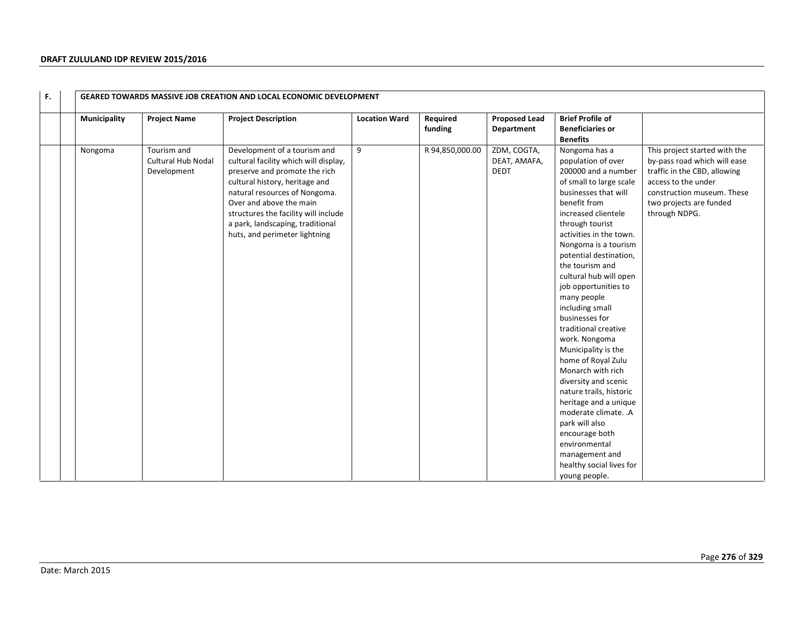| F. |              |                                                         | <b>GEARED TOWARDS MASSIVE JOB CREATION AND LOCAL ECONOMIC DEVELOPMENT</b>                                                                                                                                                                                                                                         |                      |                     |                                            |                                                                                                                                                                                                                                                                                                                                                                                                                                                                                                                                                                                                                                                                                                                  |                                                                                                                                                                                                |
|----|--------------|---------------------------------------------------------|-------------------------------------------------------------------------------------------------------------------------------------------------------------------------------------------------------------------------------------------------------------------------------------------------------------------|----------------------|---------------------|--------------------------------------------|------------------------------------------------------------------------------------------------------------------------------------------------------------------------------------------------------------------------------------------------------------------------------------------------------------------------------------------------------------------------------------------------------------------------------------------------------------------------------------------------------------------------------------------------------------------------------------------------------------------------------------------------------------------------------------------------------------------|------------------------------------------------------------------------------------------------------------------------------------------------------------------------------------------------|
|    | Municipality | <b>Project Name</b>                                     | <b>Project Description</b>                                                                                                                                                                                                                                                                                        | <b>Location Ward</b> | Required<br>funding | <b>Proposed Lead</b><br>Department         | <b>Brief Profile of</b><br><b>Beneficiaries or</b><br><b>Benefits</b>                                                                                                                                                                                                                                                                                                                                                                                                                                                                                                                                                                                                                                            |                                                                                                                                                                                                |
|    | Nongoma      | Tourism and<br><b>Cultural Hub Nodal</b><br>Development | Development of a tourism and<br>cultural facility which will display,<br>preserve and promote the rich<br>cultural history, heritage and<br>natural resources of Nongoma.<br>Over and above the main<br>structures the facility will include<br>a park, landscaping, traditional<br>huts, and perimeter lightning | 9                    | R 94,850,000.00     | ZDM, COGTA,<br>DEAT, AMAFA,<br><b>DEDT</b> | Nongoma has a<br>population of over<br>200000 and a number<br>of small to large scale<br>businesses that will<br>benefit from<br>increased clientele<br>through tourist<br>activities in the town.<br>Nongoma is a tourism<br>potential destination,<br>the tourism and<br>cultural hub will open<br>job opportunities to<br>many people<br>including small<br>businesses for<br>traditional creative<br>work. Nongoma<br>Municipality is the<br>home of Royal Zulu<br>Monarch with rich<br>diversity and scenic<br>nature trails, historic<br>heritage and a unique<br>moderate climate. .A<br>park will also<br>encourage both<br>environmental<br>management and<br>healthy social lives for<br>young people. | This project started with the<br>by-pass road which will ease<br>traffic in the CBD, allowing<br>access to the under<br>construction museum. These<br>two projects are funded<br>through NDPG. |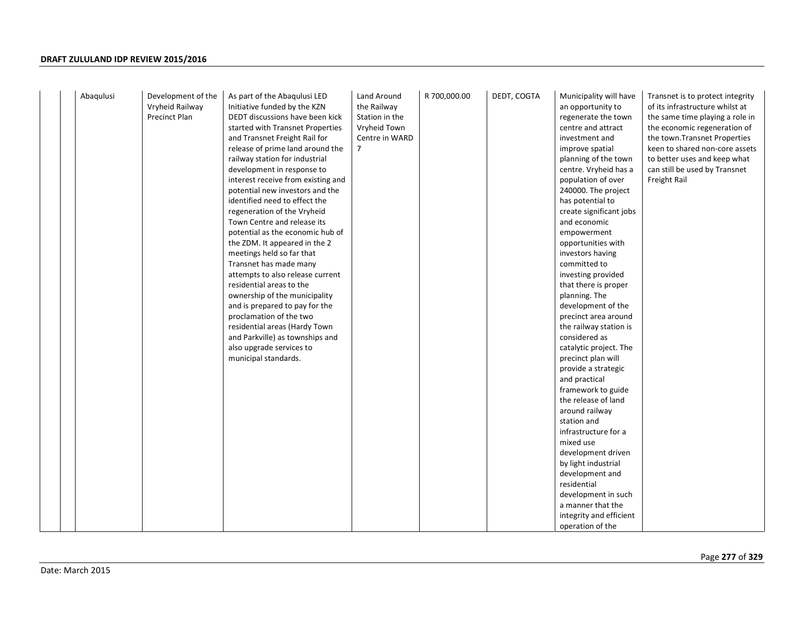| Abaqulusi<br>Development of the<br>Land Around<br>R 700,000.00<br>As part of the Abaqulusi LED<br>Initiative funded by the KZN<br>Vryheid Railway<br>the Railway<br><b>Precinct Plan</b><br>DEDT discussions have been kick<br>Station in the<br>started with Transnet Properties<br>Vryheid Town<br>and Transnet Freight Rail for<br>Centre in WARD<br>release of prime land around the<br>7<br>railway station for industrial<br>development in response to<br>interest receive from existing and<br>potential new investors and the<br>identified need to effect the<br>regeneration of the Vryheid<br>Town Centre and release its<br>potential as the economic hub of<br>the ZDM. It appeared in the 2<br>meetings held so far that<br>Transnet has made many<br>attempts to also release current<br>residential areas to the<br>ownership of the municipality<br>and is prepared to pay for the<br>proclamation of the two<br>residential areas (Hardy Town<br>and Parkville) as townships and<br>also upgrade services to<br>municipal standards. | DEDT, COGTA<br>Municipality will have<br>Transnet is to protect integrity<br>of its infrastructure whilst at<br>an opportunity to<br>the same time playing a role in<br>regenerate the town<br>centre and attract<br>the economic regeneration of<br>investment and<br>the town. Transnet Properties<br>keen to shared non-core assets<br>improve spatial<br>planning of the town<br>to better uses and keep what<br>centre. Vryheid has a<br>can still be used by Transnet<br>population of over<br>Freight Rail<br>240000. The project<br>has potential to<br>create significant jobs<br>and economic<br>empowerment<br>opportunities with<br>investors having<br>committed to<br>investing provided<br>that there is proper<br>planning. The<br>development of the<br>precinct area around<br>the railway station is<br>considered as<br>catalytic project. The<br>precinct plan will<br>provide a strategic<br>and practical<br>framework to guide<br>the release of land<br>around railway<br>station and<br>infrastructure for a<br>mixed use<br>development driven<br>by light industrial<br>development and<br>residential<br>development in such<br>a manner that the |
|---------------------------------------------------------------------------------------------------------------------------------------------------------------------------------------------------------------------------------------------------------------------------------------------------------------------------------------------------------------------------------------------------------------------------------------------------------------------------------------------------------------------------------------------------------------------------------------------------------------------------------------------------------------------------------------------------------------------------------------------------------------------------------------------------------------------------------------------------------------------------------------------------------------------------------------------------------------------------------------------------------------------------------------------------------|--------------------------------------------------------------------------------------------------------------------------------------------------------------------------------------------------------------------------------------------------------------------------------------------------------------------------------------------------------------------------------------------------------------------------------------------------------------------------------------------------------------------------------------------------------------------------------------------------------------------------------------------------------------------------------------------------------------------------------------------------------------------------------------------------------------------------------------------------------------------------------------------------------------------------------------------------------------------------------------------------------------------------------------------------------------------------------------------------------------------------------------------------------------------------------|
|---------------------------------------------------------------------------------------------------------------------------------------------------------------------------------------------------------------------------------------------------------------------------------------------------------------------------------------------------------------------------------------------------------------------------------------------------------------------------------------------------------------------------------------------------------------------------------------------------------------------------------------------------------------------------------------------------------------------------------------------------------------------------------------------------------------------------------------------------------------------------------------------------------------------------------------------------------------------------------------------------------------------------------------------------------|--------------------------------------------------------------------------------------------------------------------------------------------------------------------------------------------------------------------------------------------------------------------------------------------------------------------------------------------------------------------------------------------------------------------------------------------------------------------------------------------------------------------------------------------------------------------------------------------------------------------------------------------------------------------------------------------------------------------------------------------------------------------------------------------------------------------------------------------------------------------------------------------------------------------------------------------------------------------------------------------------------------------------------------------------------------------------------------------------------------------------------------------------------------------------------|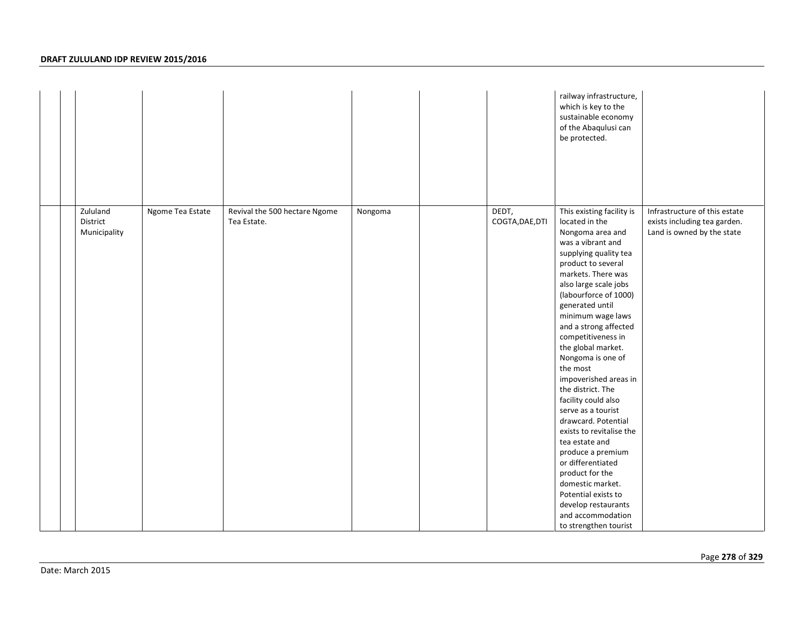|                                                          |                                              |         |                          | railway infrastructure,<br>which is key to the<br>sustainable economy<br>of the Abaqulusi can<br>be protected.                                                                                                                                                                                                                                                                                                                                                                                                                                                                                                                                                                                         |                                                                                             |
|----------------------------------------------------------|----------------------------------------------|---------|--------------------------|--------------------------------------------------------------------------------------------------------------------------------------------------------------------------------------------------------------------------------------------------------------------------------------------------------------------------------------------------------------------------------------------------------------------------------------------------------------------------------------------------------------------------------------------------------------------------------------------------------------------------------------------------------------------------------------------------------|---------------------------------------------------------------------------------------------|
| Zululand<br>Ngome Tea Estate<br>District<br>Municipality | Revival the 500 hectare Ngome<br>Tea Estate. | Nongoma | DEDT,<br>COGTA, DAE, DTI | This existing facility is<br>located in the<br>Nongoma area and<br>was a vibrant and<br>supplying quality tea<br>product to several<br>markets. There was<br>also large scale jobs<br>(labourforce of 1000)<br>generated until<br>minimum wage laws<br>and a strong affected<br>competitiveness in<br>the global market.<br>Nongoma is one of<br>the most<br>impoverished areas in<br>the district. The<br>facility could also<br>serve as a tourist<br>drawcard. Potential<br>exists to revitalise the<br>tea estate and<br>produce a premium<br>or differentiated<br>product for the<br>domestic market.<br>Potential exists to<br>develop restaurants<br>and accommodation<br>to strengthen tourist | Infrastructure of this estate<br>exists including tea garden.<br>Land is owned by the state |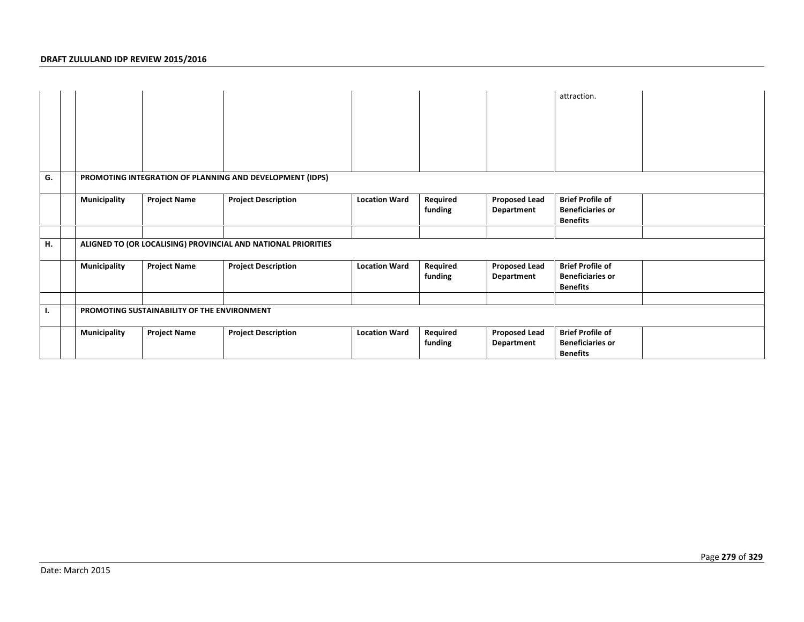|    |                     |                                             |                                                               |                      |                     |                                    | attraction.                                                           |  |
|----|---------------------|---------------------------------------------|---------------------------------------------------------------|----------------------|---------------------|------------------------------------|-----------------------------------------------------------------------|--|
| G. |                     |                                             | PROMOTING INTEGRATION OF PLANNING AND DEVELOPMENT (IDPS)      |                      |                     |                                    |                                                                       |  |
|    | <b>Municipality</b> | <b>Project Name</b>                         | <b>Project Description</b>                                    | <b>Location Ward</b> | Required<br>funding | <b>Proposed Lead</b><br>Department | <b>Brief Profile of</b><br><b>Beneficiaries or</b><br><b>Benefits</b> |  |
|    |                     |                                             |                                                               |                      |                     |                                    |                                                                       |  |
| н. |                     |                                             | ALIGNED TO (OR LOCALISING) PROVINCIAL AND NATIONAL PRIORITIES |                      |                     |                                    |                                                                       |  |
|    | <b>Municipality</b> | <b>Project Name</b>                         | <b>Project Description</b>                                    | <b>Location Ward</b> | Required<br>funding | <b>Proposed Lead</b><br>Department | <b>Brief Profile of</b><br><b>Beneficiaries or</b><br><b>Benefits</b> |  |
|    |                     |                                             |                                                               |                      |                     |                                    |                                                                       |  |
| ٠. |                     | PROMOTING SUSTAINABILITY OF THE ENVIRONMENT |                                                               |                      |                     |                                    |                                                                       |  |
|    | <b>Municipality</b> | <b>Project Name</b>                         | <b>Project Description</b>                                    | <b>Location Ward</b> | Required<br>funding | <b>Proposed Lead</b><br>Department | <b>Brief Profile of</b><br><b>Beneficiaries or</b><br><b>Benefits</b> |  |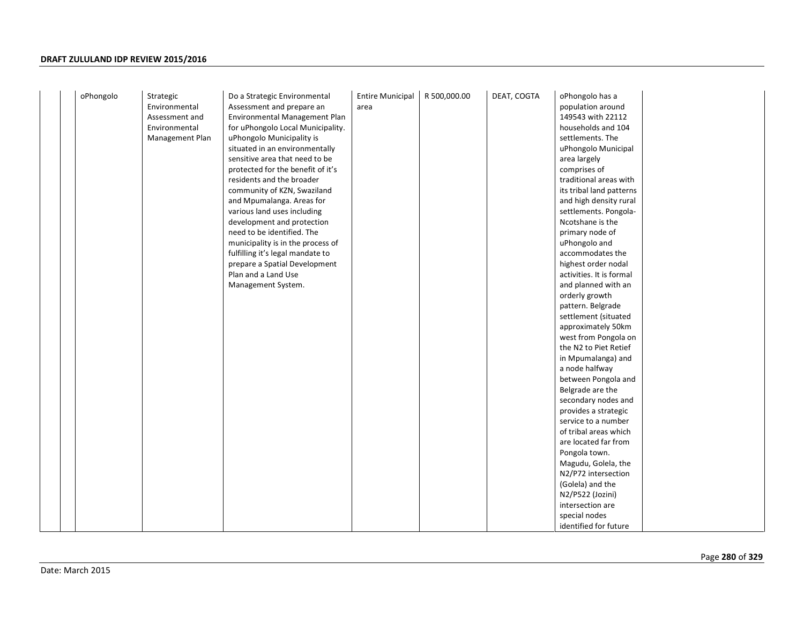| oPhongolo | Strategic       | Do a Strategic Environmental      | <b>Entire Municipal</b> | R 500,000.00 | DEAT, COGTA | oPhongolo has a          |
|-----------|-----------------|-----------------------------------|-------------------------|--------------|-------------|--------------------------|
|           | Environmental   | Assessment and prepare an         | area                    |              |             | population around        |
|           | Assessment and  | Environmental Management Plan     |                         |              |             | 149543 with 22112        |
|           | Environmental   | for uPhongolo Local Municipality. |                         |              |             | households and 104       |
|           | Management Plan | uPhongolo Municipality is         |                         |              |             | settlements. The         |
|           |                 | situated in an environmentally    |                         |              |             | uPhongolo Municipal      |
|           |                 | sensitive area that need to be    |                         |              |             | area largely             |
|           |                 | protected for the benefit of it's |                         |              |             | comprises of             |
|           |                 | residents and the broader         |                         |              |             | traditional areas with   |
|           |                 | community of KZN, Swaziland       |                         |              |             | its tribal land patterns |
|           |                 | and Mpumalanga. Areas for         |                         |              |             | and high density rural   |
|           |                 | various land uses including       |                         |              |             | settlements. Pongola-    |
|           |                 | development and protection        |                         |              |             | Ncotshane is the         |
|           |                 | need to be identified. The        |                         |              |             | primary node of          |
|           |                 | municipality is in the process of |                         |              |             | uPhongolo and            |
|           |                 | fulfilling it's legal mandate to  |                         |              |             | accommodates the         |
|           |                 | prepare a Spatial Development     |                         |              |             | highest order nodal      |
|           |                 | Plan and a Land Use               |                         |              |             | activities. It is formal |
|           |                 | Management System.                |                         |              |             | and planned with an      |
|           |                 |                                   |                         |              |             | orderly growth           |
|           |                 |                                   |                         |              |             | pattern. Belgrade        |
|           |                 |                                   |                         |              |             | settlement (situated     |
|           |                 |                                   |                         |              |             | approximately 50km       |
|           |                 |                                   |                         |              |             | west from Pongola on     |
|           |                 |                                   |                         |              |             | the N2 to Piet Retief    |
|           |                 |                                   |                         |              |             | in Mpumalanga) and       |
|           |                 |                                   |                         |              |             | a node halfway           |
|           |                 |                                   |                         |              |             | between Pongola and      |
|           |                 |                                   |                         |              |             | Belgrade are the         |
|           |                 |                                   |                         |              |             | secondary nodes and      |
|           |                 |                                   |                         |              |             | provides a strategic     |
|           |                 |                                   |                         |              |             | service to a number      |
|           |                 |                                   |                         |              |             | of tribal areas which    |
|           |                 |                                   |                         |              |             | are located far from     |
|           |                 |                                   |                         |              |             | Pongola town.            |
|           |                 |                                   |                         |              |             | Magudu, Golela, the      |
|           |                 |                                   |                         |              |             | N2/P72 intersection      |
|           |                 |                                   |                         |              |             | (Golela) and the         |
|           |                 |                                   |                         |              |             | N2/P522 (Jozini)         |
|           |                 |                                   |                         |              |             | intersection are         |
|           |                 |                                   |                         |              |             | special nodes            |
|           |                 |                                   |                         |              |             | identified for future    |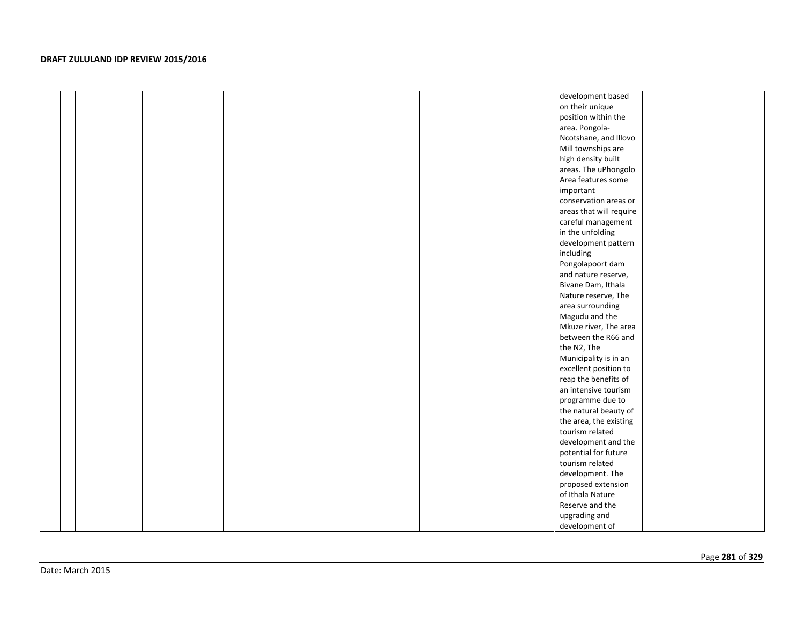|  |  |  | development based       |  |
|--|--|--|-------------------------|--|
|  |  |  | on their unique         |  |
|  |  |  | position within the     |  |
|  |  |  | area. Pongola-          |  |
|  |  |  | Ncotshane, and Illovo   |  |
|  |  |  | Mill townships are      |  |
|  |  |  | high density built      |  |
|  |  |  | areas. The uPhongolo    |  |
|  |  |  | Area features some      |  |
|  |  |  | important               |  |
|  |  |  | conservation areas or   |  |
|  |  |  | areas that will require |  |
|  |  |  | careful management      |  |
|  |  |  | in the unfolding        |  |
|  |  |  | development pattern     |  |
|  |  |  | including               |  |
|  |  |  | Pongolapoort dam        |  |
|  |  |  | and nature reserve,     |  |
|  |  |  | Bivane Dam, Ithala      |  |
|  |  |  | Nature reserve, The     |  |
|  |  |  | area surrounding        |  |
|  |  |  | Magudu and the          |  |
|  |  |  | Mkuze river, The area   |  |
|  |  |  | between the R66 and     |  |
|  |  |  | the N2, The             |  |
|  |  |  | Municipality is in an   |  |
|  |  |  | excellent position to   |  |
|  |  |  | reap the benefits of    |  |
|  |  |  | an intensive tourism    |  |
|  |  |  | programme due to        |  |
|  |  |  | the natural beauty of   |  |
|  |  |  | the area, the existing  |  |
|  |  |  | tourism related         |  |
|  |  |  | development and the     |  |
|  |  |  | potential for future    |  |
|  |  |  | tourism related         |  |
|  |  |  | development. The        |  |
|  |  |  | proposed extension      |  |
|  |  |  | of Ithala Nature        |  |
|  |  |  | Reserve and the         |  |
|  |  |  | upgrading and           |  |
|  |  |  | development of          |  |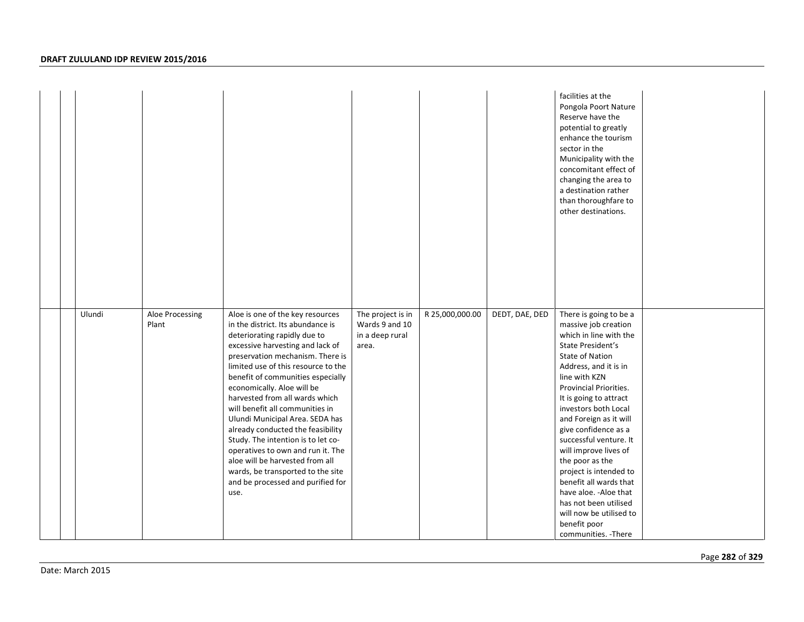|        |                          |                                                                                                                                                                                                                                                                                                                                                                                                                                                                                                                                                                                                                                      |                                                                 |                 |                | facilities at the<br>Pongola Poort Nature<br>Reserve have the<br>potential to greatly<br>enhance the tourism<br>sector in the<br>Municipality with the<br>concomitant effect of<br>changing the area to<br>a destination rather<br>than thoroughfare to<br>other destinations.                                                                                                                                                                                                                                                                  |  |
|--------|--------------------------|--------------------------------------------------------------------------------------------------------------------------------------------------------------------------------------------------------------------------------------------------------------------------------------------------------------------------------------------------------------------------------------------------------------------------------------------------------------------------------------------------------------------------------------------------------------------------------------------------------------------------------------|-----------------------------------------------------------------|-----------------|----------------|-------------------------------------------------------------------------------------------------------------------------------------------------------------------------------------------------------------------------------------------------------------------------------------------------------------------------------------------------------------------------------------------------------------------------------------------------------------------------------------------------------------------------------------------------|--|
| Ulundi | Aloe Processing<br>Plant | Aloe is one of the key resources<br>in the district. Its abundance is<br>deteriorating rapidly due to<br>excessive harvesting and lack of<br>preservation mechanism. There is<br>limited use of this resource to the<br>benefit of communities especially<br>economically. Aloe will be<br>harvested from all wards which<br>will benefit all communities in<br>Ulundi Municipal Area. SEDA has<br>already conducted the feasibility<br>Study. The intention is to let co-<br>operatives to own and run it. The<br>aloe will be harvested from all<br>wards, be transported to the site<br>and be processed and purified for<br>use. | The project is in<br>Wards 9 and 10<br>in a deep rural<br>area. | R 25,000,000.00 | DEDT, DAE, DED | There is going to be a<br>massive job creation<br>which in line with the<br>State President's<br><b>State of Nation</b><br>Address, and it is in<br>line with KZN<br>Provincial Priorities.<br>It is going to attract<br>investors both Local<br>and Foreign as it will<br>give confidence as a<br>successful venture. It<br>will improve lives of<br>the poor as the<br>project is intended to<br>benefit all wards that<br>have aloe. - Aloe that<br>has not been utilised<br>will now be utilised to<br>benefit poor<br>communities. - There |  |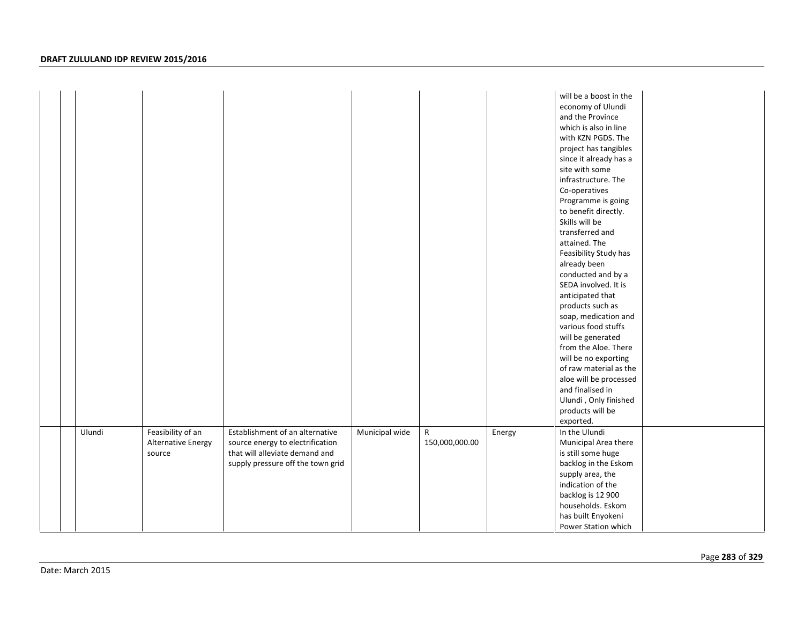|  |        |                                                   |                                                                                                                                            |                |                                |        | will be a boost in the<br>economy of Ulundi<br>and the Province<br>which is also in line<br>with KZN PGDS. The<br>project has tangibles<br>since it already has a<br>site with some<br>infrastructure. The<br>Co-operatives<br>Programme is going<br>to benefit directly.<br>Skills will be<br>transferred and<br>attained. The<br>Feasibility Study has<br>already been<br>conducted and by a<br>SEDA involved. It is<br>anticipated that<br>products such as<br>soap, medication and<br>various food stuffs<br>will be generated<br>from the Aloe. There<br>will be no exporting<br>of raw material as the<br>aloe will be processed<br>and finalised in<br>Ulundi, Only finished<br>products will be<br>exported. |  |
|--|--------|---------------------------------------------------|--------------------------------------------------------------------------------------------------------------------------------------------|----------------|--------------------------------|--------|----------------------------------------------------------------------------------------------------------------------------------------------------------------------------------------------------------------------------------------------------------------------------------------------------------------------------------------------------------------------------------------------------------------------------------------------------------------------------------------------------------------------------------------------------------------------------------------------------------------------------------------------------------------------------------------------------------------------|--|
|  | Ulundi | Feasibility of an<br>Alternative Energy<br>source | Establishment of an alternative<br>source energy to electrification<br>that will alleviate demand and<br>supply pressure off the town grid | Municipal wide | $\mathsf{R}$<br>150,000,000.00 | Energy | In the Ulundi<br>Municipal Area there<br>is still some huge<br>backlog in the Eskom<br>supply area, the<br>indication of the<br>backlog is 12 900<br>households. Eskom<br>has built Enyokeni<br>Power Station which                                                                                                                                                                                                                                                                                                                                                                                                                                                                                                  |  |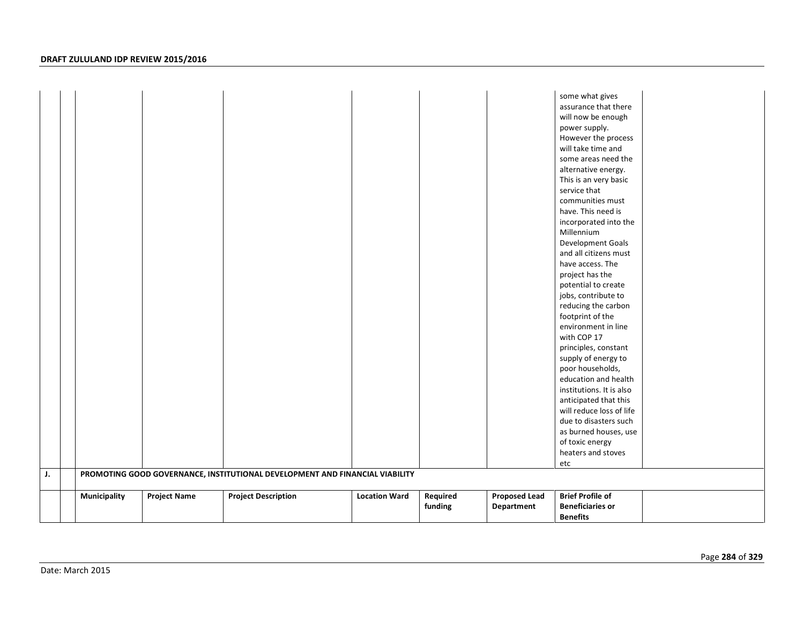| J. |              |                     | PROMOTING GOOD GOVERNANCE, INSTITUTIONAL DEVELOPMENT AND FINANCIAL VIABILITY |                      |                     |                                    | some what gives<br>assurance that there<br>will now be enough<br>power supply.<br>However the process<br>will take time and<br>some areas need the<br>alternative energy.<br>This is an very basic<br>service that<br>communities must<br>have. This need is<br>incorporated into the<br>Millennium<br>Development Goals<br>and all citizens must<br>have access. The<br>project has the<br>potential to create<br>jobs, contribute to<br>reducing the carbon<br>footprint of the<br>environment in line<br>with COP 17<br>principles, constant<br>supply of energy to<br>poor households,<br>education and health<br>institutions. It is also<br>anticipated that this<br>will reduce loss of life<br>due to disasters such<br>as burned houses, use<br>of toxic energy<br>heaters and stoves<br>etc |  |
|----|--------------|---------------------|------------------------------------------------------------------------------|----------------------|---------------------|------------------------------------|-------------------------------------------------------------------------------------------------------------------------------------------------------------------------------------------------------------------------------------------------------------------------------------------------------------------------------------------------------------------------------------------------------------------------------------------------------------------------------------------------------------------------------------------------------------------------------------------------------------------------------------------------------------------------------------------------------------------------------------------------------------------------------------------------------|--|
|    | Municipality | <b>Project Name</b> | <b>Project Description</b>                                                   | <b>Location Ward</b> | Required<br>funding | <b>Proposed Lead</b><br>Department | <b>Brief Profile of</b><br><b>Beneficiaries or</b>                                                                                                                                                                                                                                                                                                                                                                                                                                                                                                                                                                                                                                                                                                                                                    |  |
|    |              |                     |                                                                              |                      |                     |                                    | <b>Benefits</b>                                                                                                                                                                                                                                                                                                                                                                                                                                                                                                                                                                                                                                                                                                                                                                                       |  |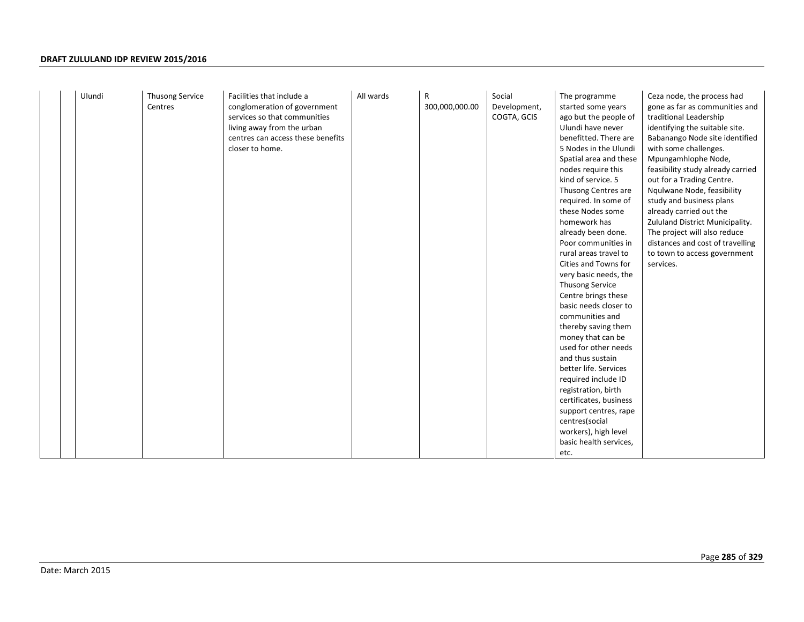| kind of service. 5<br>out for a Trading Centre.<br>Thusong Centres are<br>Nqulwane Node, feasibility<br>required. In some of<br>study and business plans<br>these Nodes some<br>already carried out the<br>homework has<br>already been done.<br>The project will also reduce<br>Poor communities in<br>rural areas travel to<br>Cities and Towns for<br>services.<br>very basic needs, the<br><b>Thusong Service</b><br>Centre brings these<br>basic needs closer to<br>communities and<br>thereby saving them<br>money that can be<br>used for other needs<br>and thus sustain<br>better life. Services<br>required include ID<br>registration, birth<br>certificates, business<br>support centres, rape<br>centres(social<br>workers), high level<br>basic health services,<br>etc. | Ulundi | Thusong Service<br>Centres | Facilities that include a<br>conglomeration of government<br>services so that communities<br>living away from the urban<br>centres can access these benefits<br>closer to home. | All wards | R<br>300,000,000.00 | Social<br>Development,<br>COGTA, GCIS | The programme<br>started some years<br>ago but the people of<br>Ulundi have never<br>benefitted. There are<br>5 Nodes in the Ulundi<br>Spatial area and these<br>nodes require this | Ceza node, the process had<br>gone as far as communities and<br>traditional Leadership<br>identifying the suitable site.<br>Babanango Node site identified<br>with some challenges.<br>Mpungamhlophe Node,<br>feasibility study already carried<br>Zululand District Municipality.<br>distances and cost of travelling<br>to town to access government |
|----------------------------------------------------------------------------------------------------------------------------------------------------------------------------------------------------------------------------------------------------------------------------------------------------------------------------------------------------------------------------------------------------------------------------------------------------------------------------------------------------------------------------------------------------------------------------------------------------------------------------------------------------------------------------------------------------------------------------------------------------------------------------------------|--------|----------------------------|---------------------------------------------------------------------------------------------------------------------------------------------------------------------------------|-----------|---------------------|---------------------------------------|-------------------------------------------------------------------------------------------------------------------------------------------------------------------------------------|--------------------------------------------------------------------------------------------------------------------------------------------------------------------------------------------------------------------------------------------------------------------------------------------------------------------------------------------------------|
|----------------------------------------------------------------------------------------------------------------------------------------------------------------------------------------------------------------------------------------------------------------------------------------------------------------------------------------------------------------------------------------------------------------------------------------------------------------------------------------------------------------------------------------------------------------------------------------------------------------------------------------------------------------------------------------------------------------------------------------------------------------------------------------|--------|----------------------------|---------------------------------------------------------------------------------------------------------------------------------------------------------------------------------|-----------|---------------------|---------------------------------------|-------------------------------------------------------------------------------------------------------------------------------------------------------------------------------------|--------------------------------------------------------------------------------------------------------------------------------------------------------------------------------------------------------------------------------------------------------------------------------------------------------------------------------------------------------|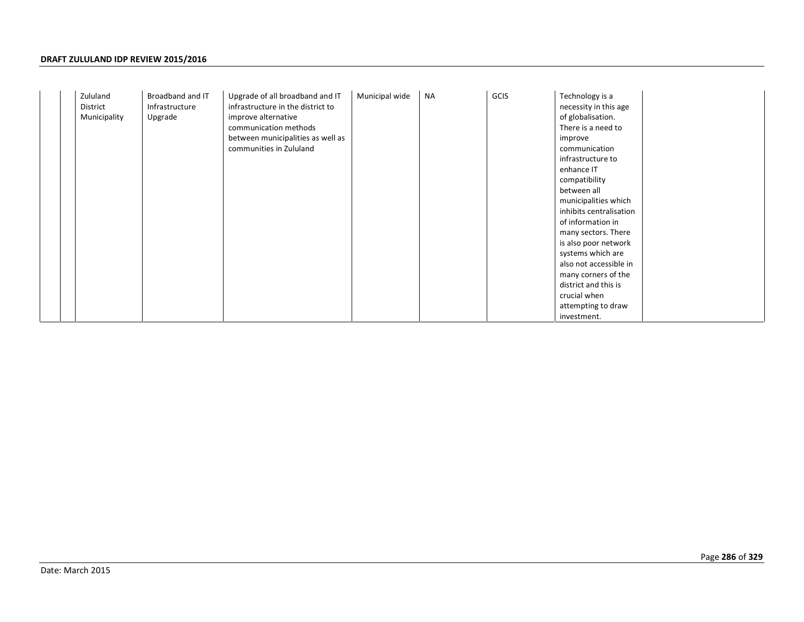|  | Zululand<br>District<br>Municipality | Broadband and IT<br>Infrastructure<br>Upgrade | Upgrade of all broadband and IT<br>infrastructure in the district to<br>improve alternative<br>communication methods<br>between municipalities as well as<br>communities in Zululand | Municipal wide | <b>NA</b> | GCIS | Technology is a<br>necessity in this age<br>of globalisation.<br>There is a need to<br>improve<br>communication<br>infrastructure to<br>enhance IT<br>compatibility<br>between all<br>municipalities which<br>inhibits centralisation<br>of information in<br>many sectors. There<br>is also poor network<br>systems which are<br>also not accessible in<br>many corners of the<br>district and this is<br>crucial when<br>attempting to draw<br>investment. |
|--|--------------------------------------|-----------------------------------------------|--------------------------------------------------------------------------------------------------------------------------------------------------------------------------------------|----------------|-----------|------|--------------------------------------------------------------------------------------------------------------------------------------------------------------------------------------------------------------------------------------------------------------------------------------------------------------------------------------------------------------------------------------------------------------------------------------------------------------|
|--|--------------------------------------|-----------------------------------------------|--------------------------------------------------------------------------------------------------------------------------------------------------------------------------------------|----------------|-----------|------|--------------------------------------------------------------------------------------------------------------------------------------------------------------------------------------------------------------------------------------------------------------------------------------------------------------------------------------------------------------------------------------------------------------------------------------------------------------|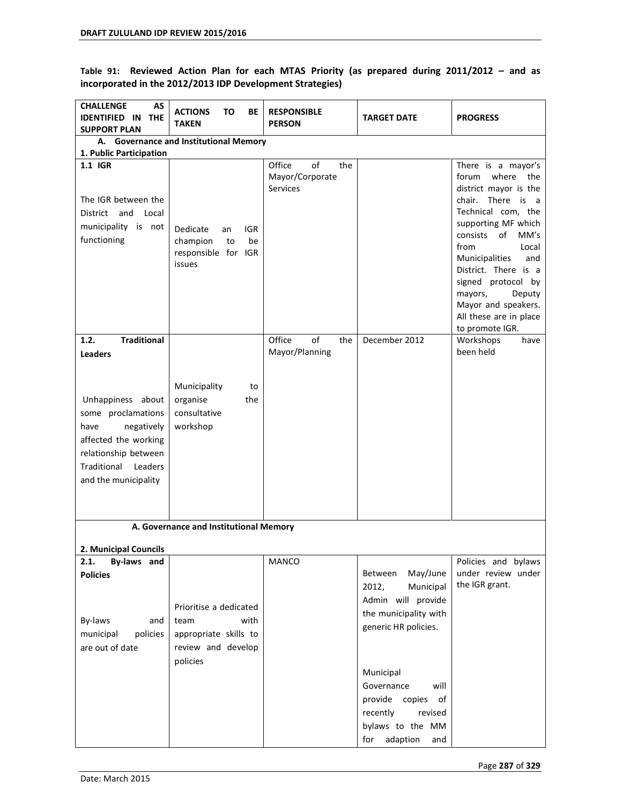Table 91: Reviewed Action Plan for each MTAS Priority (as prepared during 2011/2012 - and as **incorporated in the 2012/2013 IDP Development Strategies)** 

| <b>CHALLENGE</b><br>AS<br><b>IDENTIFIED IN</b><br><b>THE</b><br><b>SUPPORT PLAN</b>                                                                                               | <b>ACTIONS</b><br>ΤО<br>ВE<br><b>TAKEN</b>                                                        | <b>RESPONSIBLE</b><br><b>PERSON</b>                       | <b>TARGET DATE</b>                                                                                                           | <b>PROGRESS</b>                                                                                                                                                                                                                                                                                                                                   |
|-----------------------------------------------------------------------------------------------------------------------------------------------------------------------------------|---------------------------------------------------------------------------------------------------|-----------------------------------------------------------|------------------------------------------------------------------------------------------------------------------------------|---------------------------------------------------------------------------------------------------------------------------------------------------------------------------------------------------------------------------------------------------------------------------------------------------------------------------------------------------|
| 1. Public Participation                                                                                                                                                           | A. Governance and Institutional Memory                                                            |                                                           |                                                                                                                              |                                                                                                                                                                                                                                                                                                                                                   |
| 1.1 IGR<br>The IGR between the<br>District<br>and Local<br>municipality is not<br>functioning                                                                                     | Dedicate<br>IGR<br>an<br>champion<br>be<br>to<br>responsible for IGR<br>issues                    | Office<br>of<br>the<br>Mayor/Corporate<br><b>Services</b> |                                                                                                                              | There is a mayor's<br>where the<br>forum<br>district mayor is the<br>chair. There is<br>a<br>Technical com, the<br>supporting MF which<br>of<br>consists<br>MM's<br>from<br>Local<br>Municipalities<br>and<br>District. There is a<br>signed protocol by<br>mayors,<br>Deputy<br>Mayor and speakers.<br>All these are in place<br>to promote IGR. |
| 1.2.<br><b>Traditional</b>                                                                                                                                                        |                                                                                                   | Office<br>of<br>the<br>Mayor/Planning                     | December 2012                                                                                                                | Workshops<br>have<br>been held                                                                                                                                                                                                                                                                                                                    |
| <b>Leaders</b><br>Unhappiness about<br>some proclamations<br>have<br>negatively<br>affected the working<br>relationship between<br>Traditional<br>Leaders<br>and the municipality | Municipality<br>to<br>organise<br>the<br>consultative<br>workshop                                 |                                                           |                                                                                                                              |                                                                                                                                                                                                                                                                                                                                                   |
|                                                                                                                                                                                   | A. Governance and Institutional Memory                                                            |                                                           |                                                                                                                              |                                                                                                                                                                                                                                                                                                                                                   |
| 2. Municipal Councils                                                                                                                                                             |                                                                                                   |                                                           |                                                                                                                              |                                                                                                                                                                                                                                                                                                                                                   |
| 2.1.<br>By-laws and<br><b>Policies</b><br>By-laws<br>and<br>policies<br>municipal<br>are out of date                                                                              | Prioritise a dedicated<br>with<br>team<br>appropriate skills to<br>review and develop<br>policies | MANCO                                                     | May/June<br>Between<br>2012,<br>Municipal<br>Admin will provide<br>the municipality with<br>generic HR policies.             | Policies and bylaws<br>under review under<br>the IGR grant.                                                                                                                                                                                                                                                                                       |
|                                                                                                                                                                                   |                                                                                                   |                                                           | Municipal<br>Governance<br>will<br>provide copies<br>of<br>recently<br>revised<br>bylaws to the MM<br>adaption<br>for<br>and |                                                                                                                                                                                                                                                                                                                                                   |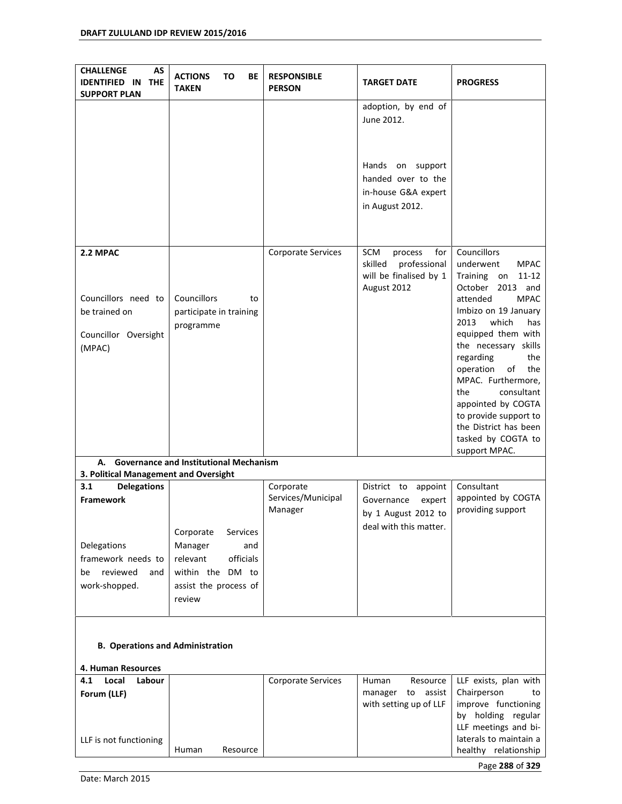| AS<br><b>CHALLENGE</b><br><b>IDENTIFIED IN</b><br><b>THE</b><br><b>SUPPORT PLAN</b> | <b>ACTIONS</b><br>BE<br>ΤО<br><b>TAKEN</b>                                                                              | <b>RESPONSIBLE</b><br><b>PERSON</b>        | <b>TARGET DATE</b>                                                                        | <b>PROGRESS</b>                                                                                                                                                                                                                                                                                                                                                                                                                   |  |  |
|-------------------------------------------------------------------------------------|-------------------------------------------------------------------------------------------------------------------------|--------------------------------------------|-------------------------------------------------------------------------------------------|-----------------------------------------------------------------------------------------------------------------------------------------------------------------------------------------------------------------------------------------------------------------------------------------------------------------------------------------------------------------------------------------------------------------------------------|--|--|
|                                                                                     |                                                                                                                         |                                            | adoption, by end of<br>June 2012.                                                         |                                                                                                                                                                                                                                                                                                                                                                                                                                   |  |  |
|                                                                                     |                                                                                                                         |                                            | Hands on support<br>handed over to the<br>in-house G&A expert<br>in August 2012.          |                                                                                                                                                                                                                                                                                                                                                                                                                                   |  |  |
| 2.2 MPAC<br>Councillors need to<br>be trained on<br>Councillor Oversight<br>(MPAC)  | Councillors<br>to<br>participate in training<br>programme                                                               | Corporate Services                         | SCM<br>for<br>process<br>skilled<br>professional<br>will be finalised by 1<br>August 2012 | <b>Councillors</b><br>underwent<br><b>MPAC</b><br>Training<br>11-12<br>on<br>October<br>2013 and<br>attended<br><b>MPAC</b><br>Imbizo on 19 January<br>2013<br>which<br>has<br>equipped them with<br>the necessary skills<br>regarding<br>the<br>operation<br>of<br>the<br>MPAC. Furthermore,<br>the<br>consultant<br>appointed by COGTA<br>to provide support to<br>the District has been<br>tasked by COGTA to<br>support MPAC. |  |  |
| А.<br>3. Political Management and Oversight                                         | <b>Governance and Institutional Mechanism</b>                                                                           |                                            |                                                                                           |                                                                                                                                                                                                                                                                                                                                                                                                                                   |  |  |
| 3.1<br><b>Delegations</b><br><b>Framework</b>                                       |                                                                                                                         | Corporate<br>Services/Municipal<br>Manager | District to<br>appoint<br>Governance<br>expert<br>by 1 August 2012 to                     | Consultant<br>appointed by COGTA<br>providing support                                                                                                                                                                                                                                                                                                                                                                             |  |  |
| Delegations<br>framework needs to<br>reviewed<br>be<br>and<br>work-shopped.         | Corporate<br>Services<br>Manager<br>and<br>relevant<br>officials<br>within the DM to<br>assist the process of<br>review |                                            | deal with this matter.                                                                    |                                                                                                                                                                                                                                                                                                                                                                                                                                   |  |  |
| <b>B. Operations and Administration</b>                                             |                                                                                                                         |                                            |                                                                                           |                                                                                                                                                                                                                                                                                                                                                                                                                                   |  |  |
| 4. Human Resources<br>4.1<br>Local<br>Labour<br>Forum (LLF)                         |                                                                                                                         | Corporate Services                         | Human<br>Resource<br>manager<br>to<br>assist<br>with setting up of LLF                    | LLF exists, plan with<br>Chairperson<br>to<br>improve functioning<br>by holding regular<br>LLF meetings and bi-                                                                                                                                                                                                                                                                                                                   |  |  |
| LLF is not functioning                                                              | Resource<br>Human                                                                                                       |                                            |                                                                                           | laterals to maintain a<br>healthy relationship                                                                                                                                                                                                                                                                                                                                                                                    |  |  |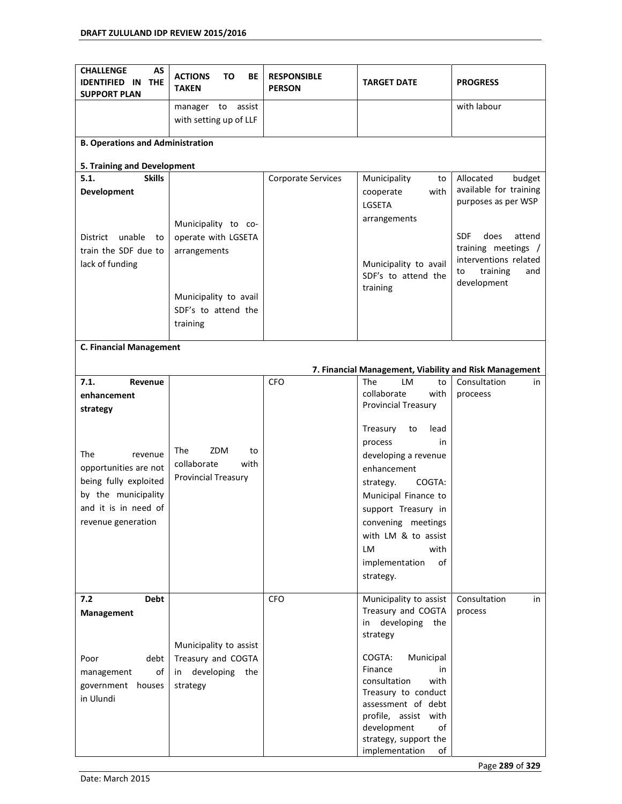| <b>CHALLENGE</b><br>AS<br><b>IDENTIFIED IN</b><br><b>THE</b><br><b>SUPPORT PLAN</b>                                                   | <b>ACTIONS</b><br>TO<br>BE<br><b>TAKEN</b>                            | <b>RESPONSIBLE</b><br><b>PERSON</b> | <b>TARGET DATE</b>                                                                                                                                                                                                                      | <b>PROGRESS</b>                                                      |
|---------------------------------------------------------------------------------------------------------------------------------------|-----------------------------------------------------------------------|-------------------------------------|-----------------------------------------------------------------------------------------------------------------------------------------------------------------------------------------------------------------------------------------|----------------------------------------------------------------------|
|                                                                                                                                       | manager<br>to<br>assist<br>with setting up of LLF                     |                                     |                                                                                                                                                                                                                                         | with labour                                                          |
|                                                                                                                                       |                                                                       |                                     |                                                                                                                                                                                                                                         |                                                                      |
| <b>B. Operations and Administration</b>                                                                                               |                                                                       |                                     |                                                                                                                                                                                                                                         |                                                                      |
| 5. Training and Development                                                                                                           |                                                                       |                                     |                                                                                                                                                                                                                                         |                                                                      |
| <b>Skills</b><br>5.1.<br><b>Development</b>                                                                                           |                                                                       | <b>Corporate Services</b>           | Municipality<br>to<br>with<br>cooperate<br>LGSETA                                                                                                                                                                                       | Allocated<br>budget<br>available for training<br>purposes as per WSP |
| unable<br>District<br>to<br>train the SDF due to                                                                                      | Municipality to co-<br>operate with LGSETA<br>arrangements            |                                     | arrangements                                                                                                                                                                                                                            | <b>SDF</b><br>does<br>attend<br>training meetings /                  |
| lack of funding                                                                                                                       | Municipality to avail                                                 |                                     | Municipality to avail<br>SDF's to attend the<br>training                                                                                                                                                                                | interventions related<br>training<br>and<br>to<br>development        |
|                                                                                                                                       | SDF's to attend the<br>training                                       |                                     |                                                                                                                                                                                                                                         |                                                                      |
| <b>C. Financial Management</b>                                                                                                        |                                                                       |                                     |                                                                                                                                                                                                                                         |                                                                      |
|                                                                                                                                       |                                                                       |                                     | 7. Financial Management, Viability and Risk Management                                                                                                                                                                                  |                                                                      |
| 7.1.<br>Revenue<br>enhancement<br>strategy                                                                                            |                                                                       | <b>CFO</b>                          | <b>The</b><br>LM<br>to<br>collaborate<br>with<br><b>Provincial Treasury</b>                                                                                                                                                             | Consultation<br>in<br>proceess                                       |
| The<br>revenue<br>opportunities are not<br>being fully exploited<br>by the municipality<br>and it is in need of<br>revenue generation | ZDM<br>The<br>to<br>collaborate<br>with<br><b>Provincial Treasury</b> |                                     | Treasury<br>lead<br>to<br>process<br>in<br>developing a revenue<br>enhancement<br>COGTA:<br>strategy.<br>Municipal Finance to<br>support Treasury in<br>convening meetings<br>with LM & to assist<br>LM<br>with<br>implementation<br>of |                                                                      |
| <b>Debt</b><br>7.2                                                                                                                    |                                                                       | <b>CFO</b>                          | strategy.<br>Municipality to assist<br>Treasury and COGTA                                                                                                                                                                               | Consultation<br>in<br>process                                        |
| Management                                                                                                                            | Municipality to assist                                                |                                     | developing<br>the<br>in<br>strategy                                                                                                                                                                                                     |                                                                      |
| debt<br>Poor<br>of<br>management<br>government houses<br>in Ulundi                                                                    | Treasury and COGTA<br>developing<br>the<br>in<br>strategy             |                                     | COGTA:<br>Municipal<br>Finance<br>in<br>consultation<br>with<br>Treasury to conduct<br>assessment of debt<br>profile, assist with<br>development<br>of<br>strategy, support the<br>implementation<br>of                                 |                                                                      |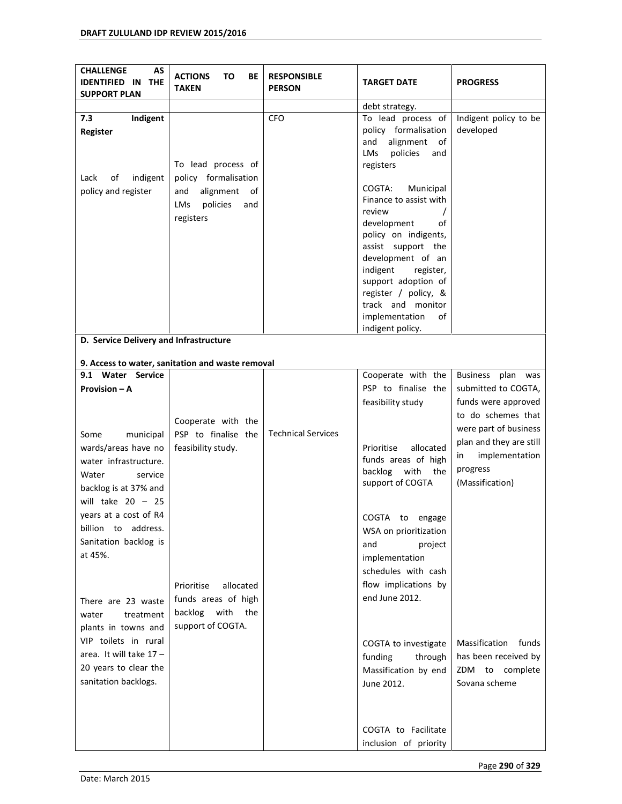| <b>CHALLENGE</b><br>AS<br><b>IDENTIFIED IN</b><br><b>THE</b><br><b>SUPPORT PLAN</b> | <b>ACTIONS</b><br>то<br>ВE<br><b>TAKEN</b>       | <b>RESPONSIBLE</b><br><b>PERSON</b> | <b>TARGET DATE</b>                                                                                          | <b>PROGRESS</b>                    |
|-------------------------------------------------------------------------------------|--------------------------------------------------|-------------------------------------|-------------------------------------------------------------------------------------------------------------|------------------------------------|
|                                                                                     |                                                  |                                     | debt strategy.                                                                                              |                                    |
| 7.3<br>Indigent<br>Register                                                         | To lead process of                               | <b>CFO</b>                          | To lead process of<br>policy formalisation<br>alignment<br>and<br>of<br>policies<br>LMs<br>and<br>registers | Indigent policy to be<br>developed |
| Lack<br>indigent<br>οf                                                              | policy formalisation                             |                                     |                                                                                                             |                                    |
| policy and register                                                                 | alignment<br>and<br>of<br>LMs<br>policies<br>and |                                     | COGTA:<br>Municipal<br>Finance to assist with                                                               |                                    |
|                                                                                     | registers                                        |                                     | review<br>development<br>οf                                                                                 |                                    |
|                                                                                     |                                                  |                                     | policy on indigents,<br>assist support the                                                                  |                                    |
|                                                                                     |                                                  |                                     | development of an<br>indigent<br>register,                                                                  |                                    |
|                                                                                     |                                                  |                                     | support adoption of<br>register / policy, &                                                                 |                                    |
|                                                                                     |                                                  |                                     | track and monitor<br>implementation<br>of<br>indigent policy.                                               |                                    |
| D. Service Delivery and Infrastructure                                              |                                                  |                                     |                                                                                                             |                                    |
|                                                                                     |                                                  |                                     |                                                                                                             |                                    |
| 9. Access to water, sanitation and waste removal<br>9.1 Water Service               |                                                  |                                     | Cooperate with the                                                                                          | <b>Business</b><br>plan was        |
| Provision - A                                                                       |                                                  |                                     | PSP to finalise the                                                                                         | submitted to COGTA,                |
|                                                                                     |                                                  |                                     | feasibility study                                                                                           | funds were approved                |
|                                                                                     | Cooperate with the                               |                                     |                                                                                                             | to do schemes that                 |
| Some<br>municipal                                                                   | PSP to finalise the                              | <b>Technical Services</b>           |                                                                                                             | were part of business              |
| wards/areas have no                                                                 | feasibility study.                               |                                     | Prioritise<br>allocated                                                                                     | plan and they are still            |
| water infrastructure.                                                               |                                                  |                                     | funds areas of high                                                                                         | implementation<br>in               |
| Water<br>service                                                                    |                                                  |                                     | backlog with<br>the                                                                                         | progress                           |
| backlog is at 37% and                                                               |                                                  |                                     | support of COGTA                                                                                            | (Massification)                    |
| will take $20 - 25$                                                                 |                                                  |                                     |                                                                                                             |                                    |
| years at a cost of R4                                                               |                                                  |                                     | COGTA to engage                                                                                             |                                    |
| billion to address.                                                                 |                                                  |                                     | WSA on prioritization                                                                                       |                                    |
| Sanitation backlog is                                                               |                                                  |                                     | project<br>and                                                                                              |                                    |
| at 45%.                                                                             |                                                  |                                     | implementation                                                                                              |                                    |
|                                                                                     |                                                  |                                     | schedules with cash                                                                                         |                                    |
|                                                                                     | allocated<br>Prioritise                          |                                     | flow implications by                                                                                        |                                    |
| There are 23 waste                                                                  | funds areas of high                              |                                     | end June 2012.                                                                                              |                                    |
| treatment<br>water                                                                  | backlog<br>with<br>the                           |                                     |                                                                                                             |                                    |
| plants in towns and                                                                 | support of COGTA.                                |                                     |                                                                                                             |                                    |
| VIP toilets in rural                                                                |                                                  |                                     | COGTA to investigate                                                                                        | Massification<br>funds             |
| area. It will take $17 -$                                                           |                                                  |                                     | funding<br>through                                                                                          | has been received by               |
| 20 years to clear the                                                               |                                                  |                                     | Massification by end                                                                                        | ZDM to complete                    |
| sanitation backlogs.                                                                |                                                  |                                     | June 2012.                                                                                                  | Sovana scheme                      |
|                                                                                     |                                                  |                                     |                                                                                                             |                                    |
|                                                                                     |                                                  |                                     | COGTA to Facilitate<br>inclusion of priority                                                                |                                    |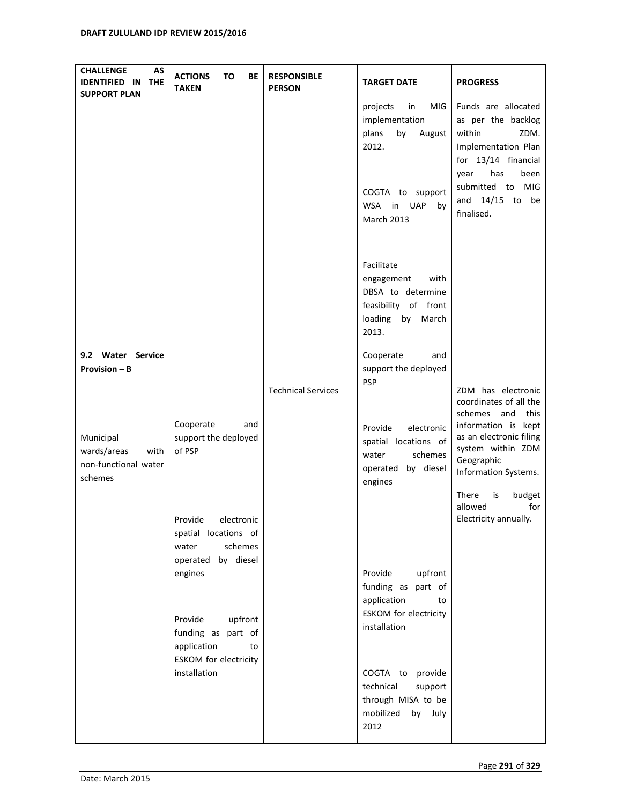| <b>CHALLENGE</b><br>AS<br><b>IDENTIFIED IN</b><br><b>THE</b><br><b>SUPPORT PLAN</b> | <b>ACTIONS</b><br>TO<br>BE<br><b>TAKEN</b>                              | <b>RESPONSIBLE</b><br><b>PERSON</b> | <b>TARGET DATE</b>                                                                                                                 | <b>PROGRESS</b>                                                                                                                                                                         |
|-------------------------------------------------------------------------------------|-------------------------------------------------------------------------|-------------------------------------|------------------------------------------------------------------------------------------------------------------------------------|-----------------------------------------------------------------------------------------------------------------------------------------------------------------------------------------|
|                                                                                     |                                                                         |                                     | in<br>MIG<br>projects<br>implementation<br>by<br>plans<br>August<br>2012.<br>COGTA to support<br>UAP<br>WSA in<br>by<br>March 2013 | Funds are allocated<br>as per the backlog<br>within<br>ZDM.<br>Implementation Plan<br>for 13/14 financial<br>has<br>been<br>year<br>submitted to MIG<br>and $14/15$ to be<br>finalised. |
|                                                                                     |                                                                         |                                     | Facilitate<br>engagement<br>with<br>DBSA to determine<br>feasibility of front<br>loading<br>by March<br>2013.                      |                                                                                                                                                                                         |
| 9.2 Water Service<br><b>Provision - B</b>                                           | Cooperate<br>and                                                        | <b>Technical Services</b>           | Cooperate<br>and<br>support the deployed<br><b>PSP</b>                                                                             | ZDM has electronic<br>coordinates of all the<br>schemes and<br>this<br>information is kept                                                                                              |
| Municipal<br>wards/areas<br>with<br>non-functional water<br>schemes                 | support the deployed<br>of PSP                                          |                                     | electronic<br>Provide<br>spatial locations of<br>water<br>schemes<br>operated by diesel<br>engines                                 | as an electronic filing<br>system within ZDM<br>Geographic<br>Information Systems.                                                                                                      |
|                                                                                     | Provide<br>electronic<br>spatial locations of<br>schemes<br>water       |                                     |                                                                                                                                    | There<br>is<br>budget<br>allowed<br>for<br>Electricity annually.                                                                                                                        |
|                                                                                     | operated by diesel<br>engines<br>Provide<br>upfront                     |                                     | Provide<br>upfront<br>funding as<br>part of<br>application<br>to<br><b>ESKOM</b> for electricity                                   |                                                                                                                                                                                         |
|                                                                                     | funding as part of<br>application<br>to<br><b>ESKOM</b> for electricity |                                     | installation                                                                                                                       |                                                                                                                                                                                         |
|                                                                                     | installation                                                            |                                     | COGTA to<br>provide<br>technical<br>support<br>through MISA to be<br>mobilized<br>by July<br>2012                                  |                                                                                                                                                                                         |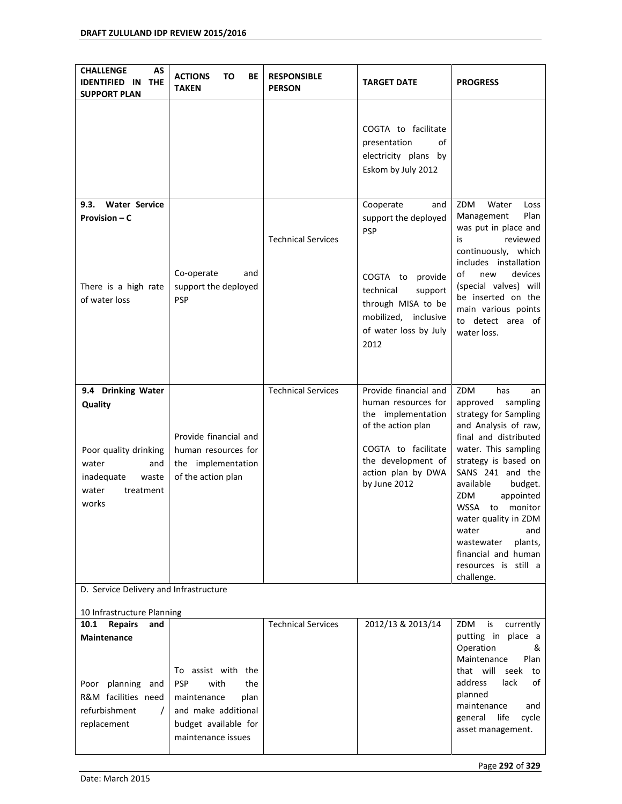| AS<br><b>CHALLENGE</b><br><b>IDENTIFIED IN</b><br><b>THE</b><br><b>SUPPORT PLAN</b>                                          | <b>ACTIONS</b><br>ΤO<br>ВE<br><b>TAKEN</b>                                                                                                  | <b>RESPONSIBLE</b><br><b>PERSON</b> | <b>TARGET DATE</b>                                                                                                                                                                   | <b>PROGRESS</b>                                                                                                                                                                                                                                                                                                                                                                                  |  |  |  |
|------------------------------------------------------------------------------------------------------------------------------|---------------------------------------------------------------------------------------------------------------------------------------------|-------------------------------------|--------------------------------------------------------------------------------------------------------------------------------------------------------------------------------------|--------------------------------------------------------------------------------------------------------------------------------------------------------------------------------------------------------------------------------------------------------------------------------------------------------------------------------------------------------------------------------------------------|--|--|--|
|                                                                                                                              |                                                                                                                                             |                                     | COGTA to facilitate<br>presentation<br>οf<br>electricity plans by<br>Eskom by July 2012                                                                                              |                                                                                                                                                                                                                                                                                                                                                                                                  |  |  |  |
| <b>Water Service</b><br>9.3.<br>Provision – C<br>There is a high rate<br>of water loss                                       | Co-operate<br>and<br>support the deployed<br><b>PSP</b>                                                                                     | <b>Technical Services</b>           | Cooperate<br>and<br>support the deployed<br><b>PSP</b><br>COGTA to<br>provide<br>technical<br>support<br>through MISA to be<br>mobilized, inclusive<br>of water loss by July<br>2012 | ZDM<br>Water<br>Loss<br>Plan<br>Management<br>was put in place and<br>is<br>reviewed<br>continuously, which<br>includes installation<br>of<br>devices<br>new<br>(special valves) will<br>be inserted on the<br>main various points<br>to detect area of<br>water loss.                                                                                                                           |  |  |  |
| 9.4 Drinking Water<br>Quality<br>Poor quality drinking<br>water<br>and<br>inadequate<br>waste<br>water<br>treatment<br>works | Provide financial and<br>human resources for<br>the implementation<br>of the action plan                                                    | <b>Technical Services</b>           | Provide financial and<br>human resources for<br>the implementation<br>of the action plan<br>COGTA to facilitate<br>the development of<br>action plan by DWA<br>by June 2012          | ZDM<br>has<br>an<br>approved<br>sampling<br>strategy for Sampling<br>and Analysis of raw,<br>final and distributed<br>water. This sampling<br>strategy is based on<br>SANS 241 and the<br>available<br>budget.<br>ZDM<br>appointed<br><b>WSSA</b><br>monitor<br>to<br>water quality in ZDM<br>water<br>and<br>wastewater<br>plants,<br>financial and human<br>resources is still a<br>challenge. |  |  |  |
|                                                                                                                              | D. Service Delivery and Infrastructure                                                                                                      |                                     |                                                                                                                                                                                      |                                                                                                                                                                                                                                                                                                                                                                                                  |  |  |  |
| 10 Infrastructure Planning<br><b>Repairs</b><br>10.1<br>and                                                                  |                                                                                                                                             | <b>Technical Services</b>           | 2012/13 & 2013/14                                                                                                                                                                    | ZDM<br>is<br>currently                                                                                                                                                                                                                                                                                                                                                                           |  |  |  |
| Maintenance<br>planning and<br>Poor<br>R&M facilities need<br>refurbishment<br>$\prime$<br>replacement                       | To assist with the<br><b>PSP</b><br>with<br>the<br>maintenance<br>plan<br>and make additional<br>budget available for<br>maintenance issues |                                     |                                                                                                                                                                                      | putting in place a<br>Operation<br>&<br>Maintenance<br>Plan<br>that will<br>seek<br>to<br>lack<br>address<br>of<br>planned<br>maintenance<br>and<br>life<br>general<br>cycle<br>asset management.                                                                                                                                                                                                |  |  |  |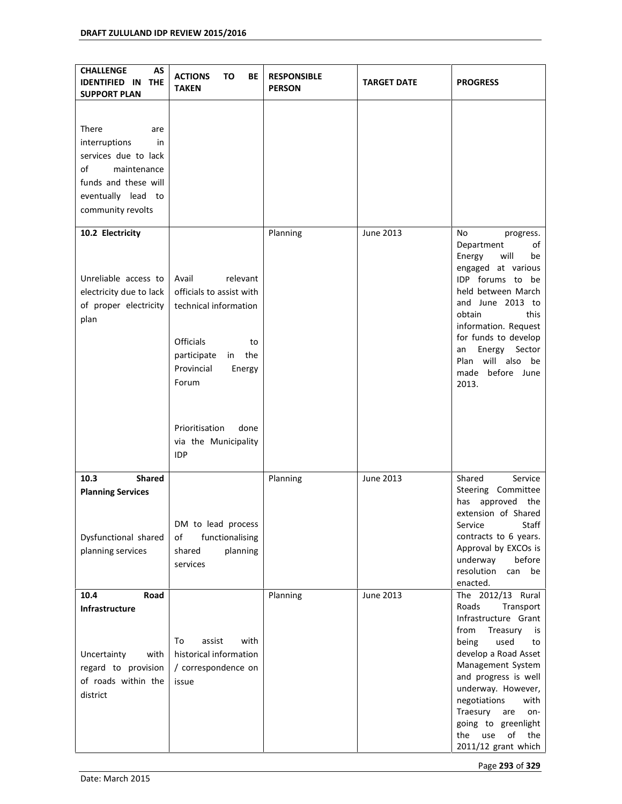| <b>CHALLENGE</b><br>AS<br><b>IDENTIFIED IN</b><br><b>THE</b><br><b>SUPPORT PLAN</b>                                                                 | <b>ACTIONS</b><br>TO<br>ВE<br><b>TAKEN</b>                                                                                                                                           | <b>RESPONSIBLE</b><br><b>PERSON</b> | <b>TARGET DATE</b> | <b>PROGRESS</b>                                                                                                                                                                                                                                                                                                                        |
|-----------------------------------------------------------------------------------------------------------------------------------------------------|--------------------------------------------------------------------------------------------------------------------------------------------------------------------------------------|-------------------------------------|--------------------|----------------------------------------------------------------------------------------------------------------------------------------------------------------------------------------------------------------------------------------------------------------------------------------------------------------------------------------|
| There<br>are<br>interruptions<br>in<br>services due to lack<br>of<br>maintenance<br>funds and these will<br>eventually lead to<br>community revolts |                                                                                                                                                                                      |                                     |                    |                                                                                                                                                                                                                                                                                                                                        |
| 10.2 Electricity<br>Unreliable access to<br>electricity due to lack<br>of proper electricity<br>plan                                                | relevant<br>Avail<br>officials to assist with<br>technical information<br><b>Officials</b><br>to<br>in the<br>participate<br>Provincial<br>Energy<br>Forum<br>Prioritisation<br>done | Planning                            | June 2013          | No<br>progress.<br>Department<br>οf<br>will<br>Energy<br>be<br>engaged at various<br>IDP forums to be<br>held between March<br>and June 2013 to<br>obtain<br>this<br>information. Request<br>for funds to develop<br>Energy<br>Sector<br>an<br>Plan will also be<br>made<br>before June<br>2013.                                       |
|                                                                                                                                                     | via the Municipality<br><b>IDP</b>                                                                                                                                                   |                                     |                    |                                                                                                                                                                                                                                                                                                                                        |
| <b>Shared</b><br>10.3<br><b>Planning Services</b><br>Dysfunctional shared<br>planning services                                                      | DM to lead process<br>functionalising<br>οf<br>planning<br>shared<br>services                                                                                                        | Planning                            | <b>June 2013</b>   | Shared<br>Service<br>Steering Committee<br>has<br>approved<br>the<br>extension of Shared<br>Service<br>Staff<br>contracts to 6 years.<br>Approval by EXCOs is<br>underway<br>before<br>resolution<br>can<br>be<br>enacted.                                                                                                             |
| 10.4<br>Road<br>Infrastructure<br>Uncertainty<br>with<br>regard to provision<br>of roads within the<br>district                                     | assist<br>with<br>To<br>historical information<br>/ correspondence on<br>issue                                                                                                       | Planning                            | June 2013          | The 2012/13 Rural<br>Roads<br>Transport<br>Infrastructure Grant<br>from<br>Treasury<br>is<br>being<br>used<br>to<br>develop a Road Asset<br>Management System<br>and progress is well<br>underway. However,<br>negotiations<br>with<br>Traesury<br>are<br>on-<br>going to greenlight<br>use<br>the<br>of<br>the<br>2011/12 grant which |